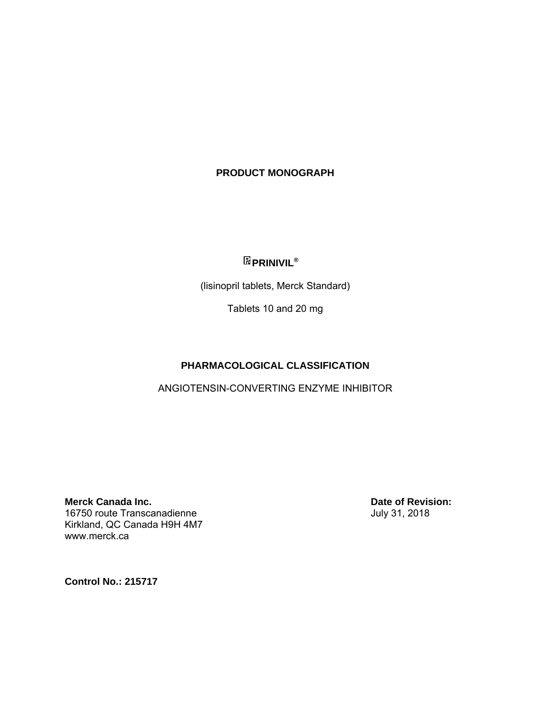## **PRODUCT MONOGRAPH**

# **PRINIVIL®**

(lisinopril tablets, Merck Standard)

Tablets 10 and 20 mg

## **PHARMACOLOGICAL CLASSIFICATION**

## ANGIOTENSIN-CONVERTING ENZYME INHIBITOR

**Merck Canada Inc.**<br>16750 route Transcanadienne **Date of Revision: Date of Revision: Date of Revision:** 16750 route Transcanadienne Kirkland, QC Canada H9H 4M7 www.merck.ca

**Control No.: 215717**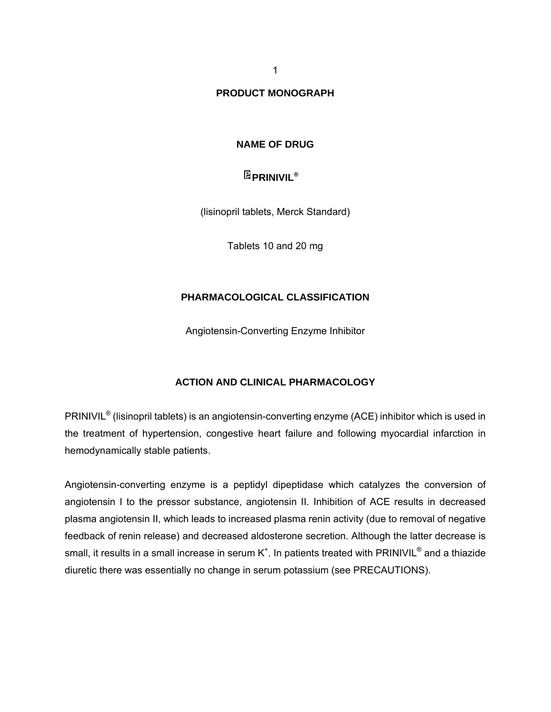**PRODUCT MONOGRAPH** 

### **NAME OF DRUG**

# **PRINIVIL®**

(lisinopril tablets, Merck Standard)

Tablets 10 and 20 mg

## **PHARMACOLOGICAL CLASSIFICATION**

Angiotensin-Converting Enzyme Inhibitor

## **ACTION AND CLINICAL PHARMACOLOGY**

PRINIVIL® (lisinopril tablets) is an angiotensin-converting enzyme (ACE) inhibitor which is used in the treatment of hypertension, congestive heart failure and following myocardial infarction in hemodynamically stable patients.

Angiotensin-converting enzyme is a peptidyl dipeptidase which catalyzes the conversion of angiotensin I to the pressor substance, angiotensin II. Inhibition of ACE results in decreased plasma angiotensin II, which leads to increased plasma renin activity (due to removal of negative feedback of renin release) and decreased aldosterone secretion. Although the latter decrease is small, it results in a small increase in serum K<sup>+</sup>. In patients treated with PRINIVIL<sup>®</sup> and a thiazide diuretic there was essentially no change in serum potassium (see PRECAUTIONS).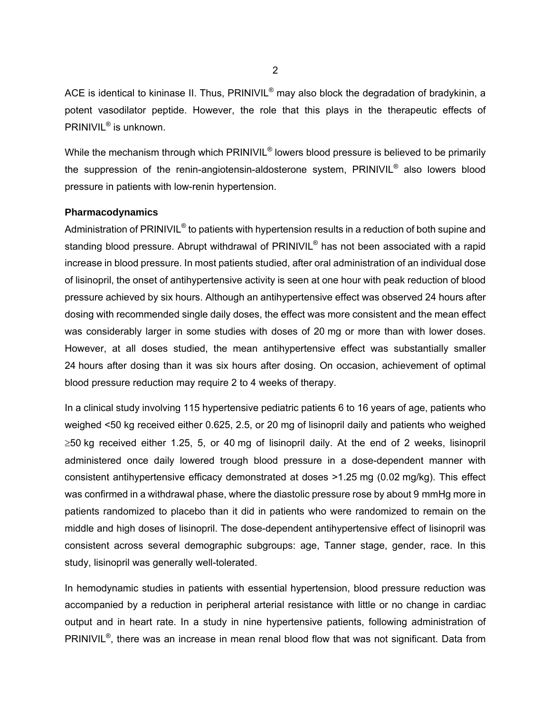ACE is identical to kininase II. Thus, PRINIVIL<sup>®</sup> may also block the degradation of bradykinin. a potent vasodilator peptide. However, the role that this plays in the therapeutic effects of PRINIVIL® is unknown.

While the mechanism through which PRINIVIL<sup>®</sup> lowers blood pressure is believed to be primarily the suppression of the renin-angiotensin-aldosterone system, PRINIVIL<sup>®</sup> also lowers blood pressure in patients with low-renin hypertension.

#### **Pharmacodynamics**

Administration of PRINIVIL<sup>®</sup> to patients with hypertension results in a reduction of both supine and standing blood pressure. Abrupt withdrawal of PRINIVIL<sup>®</sup> has not been associated with a rapid increase in blood pressure. In most patients studied, after oral administration of an individual dose of lisinopril, the onset of antihypertensive activity is seen at one hour with peak reduction of blood pressure achieved by six hours. Although an antihypertensive effect was observed 24 hours after dosing with recommended single daily doses, the effect was more consistent and the mean effect was considerably larger in some studies with doses of 20 mg or more than with lower doses. However, at all doses studied, the mean antihypertensive effect was substantially smaller 24 hours after dosing than it was six hours after dosing. On occasion, achievement of optimal blood pressure reduction may require 2 to 4 weeks of therapy.

In a clinical study involving 115 hypertensive pediatric patients 6 to 16 years of age, patients who weighed <50 kg received either 0.625, 2.5, or 20 mg of lisinopril daily and patients who weighed  $\geq$ 50 kg received either 1.25, 5, or 40 mg of lisinopril daily. At the end of 2 weeks, lisinopril administered once daily lowered trough blood pressure in a dose-dependent manner with consistent antihypertensive efficacy demonstrated at doses >1.25 mg (0.02 mg/kg). This effect was confirmed in a withdrawal phase, where the diastolic pressure rose by about 9 mmHg more in patients randomized to placebo than it did in patients who were randomized to remain on the middle and high doses of lisinopril. The dose-dependent antihypertensive effect of lisinopril was consistent across several demographic subgroups: age, Tanner stage, gender, race. In this study, lisinopril was generally well-tolerated.

In hemodynamic studies in patients with essential hypertension, blood pressure reduction was accompanied by a reduction in peripheral arterial resistance with little or no change in cardiac output and in heart rate. In a study in nine hypertensive patients, following administration of PRINIVIL®, there was an increase in mean renal blood flow that was not significant. Data from

2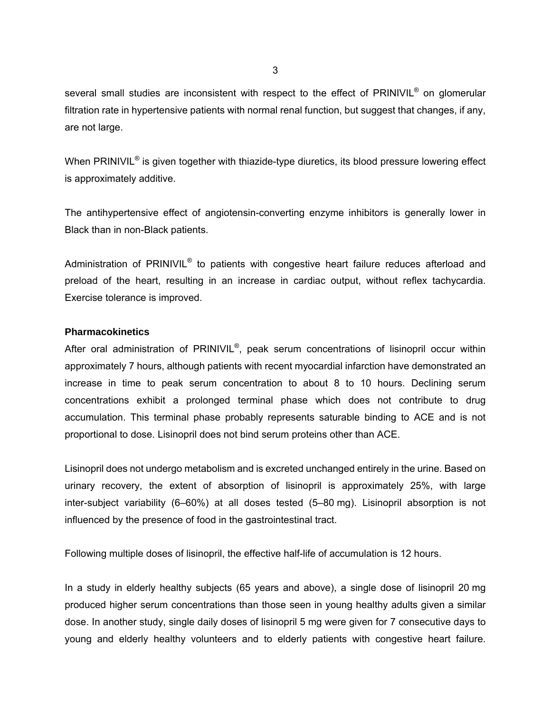several small studies are inconsistent with respect to the effect of PRINIVIL<sup>®</sup> on glomerular filtration rate in hypertensive patients with normal renal function, but suggest that changes, if any, are not large.

When PRINIVIL<sup>®</sup> is given together with thiazide-type diuretics, its blood pressure lowering effect is approximately additive.

The antihypertensive effect of angiotensin-converting enzyme inhibitors is generally lower in Black than in non-Black patients.

Administration of PRINIVIL<sup>®</sup> to patients with congestive heart failure reduces afterload and preload of the heart, resulting in an increase in cardiac output, without reflex tachycardia. Exercise tolerance is improved.

#### **Pharmacokinetics**

After oral administration of PRINIVIL<sup>®</sup>, peak serum concentrations of lisinopril occur within approximately 7 hours, although patients with recent myocardial infarction have demonstrated an increase in time to peak serum concentration to about 8 to 10 hours. Declining serum concentrations exhibit a prolonged terminal phase which does not contribute to drug accumulation. This terminal phase probably represents saturable binding to ACE and is not proportional to dose. Lisinopril does not bind serum proteins other than ACE.

Lisinopril does not undergo metabolism and is excreted unchanged entirely in the urine. Based on urinary recovery, the extent of absorption of lisinopril is approximately 25%, with large inter-subject variability (6–60%) at all doses tested (5–80 mg). Lisinopril absorption is not influenced by the presence of food in the gastrointestinal tract.

Following multiple doses of lisinopril, the effective half-life of accumulation is 12 hours.

In a study in elderly healthy subjects (65 years and above), a single dose of lisinopril 20 mg produced higher serum concentrations than those seen in young healthy adults given a similar dose. In another study, single daily doses of lisinopril 5 mg were given for 7 consecutive days to young and elderly healthy volunteers and to elderly patients with congestive heart failure.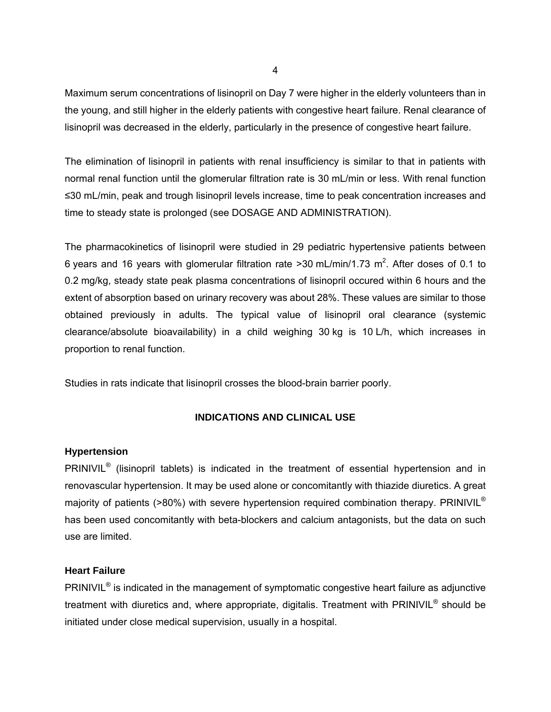Maximum serum concentrations of lisinopril on Day 7 were higher in the elderly volunteers than in the young, and still higher in the elderly patients with congestive heart failure. Renal clearance of lisinopril was decreased in the elderly, particularly in the presence of congestive heart failure.

The elimination of lisinopril in patients with renal insufficiency is similar to that in patients with normal renal function until the glomerular filtration rate is 30 mL/min or less. With renal function ≤30 mL/min, peak and trough lisinopril levels increase, time to peak concentration increases and time to steady state is prolonged (see DOSAGE AND ADMINISTRATION).

The pharmacokinetics of lisinopril were studied in 29 pediatric hypertensive patients between 6 years and 16 years with glomerular filtration rate > 30 mL/min/1.73 m<sup>2</sup>. After doses of 0.1 to 0.2 mg/kg, steady state peak plasma concentrations of lisinopril occured within 6 hours and the extent of absorption based on urinary recovery was about 28%. These values are similar to those obtained previously in adults. The typical value of lisinopril oral clearance (systemic clearance/absolute bioavailability) in a child weighing 30 kg is 10 L/h, which increases in proportion to renal function.

Studies in rats indicate that lisinopril crosses the blood-brain barrier poorly.

## **INDICATIONS AND CLINICAL USE**

#### **Hypertension**

PRINIVIL<sup>®</sup> (lisinopril tablets) is indicated in the treatment of essential hypertension and in renovascular hypertension. It may be used alone or concomitantly with thiazide diuretics. A great majority of patients (>80%) with severe hypertension required combination therapy. PRINIVIL® has been used concomitantly with beta-blockers and calcium antagonists, but the data on such use are limited.

#### **Heart Failure**

PRINIVIL<sup>®</sup> is indicated in the management of symptomatic congestive heart failure as adjunctive treatment with diuretics and, where appropriate, digitalis. Treatment with PRINIVIL<sup>®</sup> should be initiated under close medical supervision, usually in a hospital.

4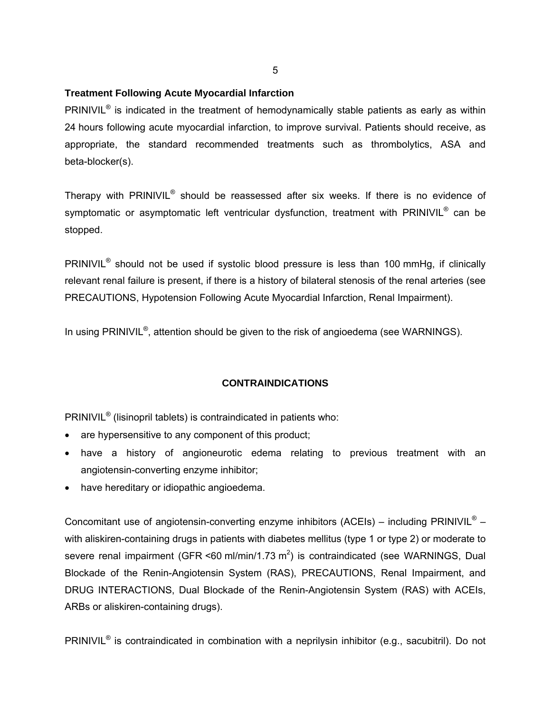#### **Treatment Following Acute Myocardial Infarction**

PRINIVIL<sup>®</sup> is indicated in the treatment of hemodynamically stable patients as early as within 24 hours following acute myocardial infarction, to improve survival. Patients should receive, as appropriate, the standard recommended treatments such as thrombolytics, ASA and beta-blocker(s).

Therapy with PRINIVIL® should be reassessed after six weeks. If there is no evidence of symptomatic or asymptomatic left ventricular dysfunction, treatment with PRINIVIL® can be stopped.

PRINIVIL<sup>®</sup> should not be used if systolic blood pressure is less than 100 mmHg, if clinically relevant renal failure is present, if there is a history of bilateral stenosis of the renal arteries (see PRECAUTIONS, Hypotension Following Acute Myocardial Infarction, Renal Impairment).

In using PRINIVIL<sup>®</sup>, attention should be given to the risk of angioedema (see WARNINGS).

## **CONTRAINDICATIONS**

PRINIVIL® (lisinopril tablets) is contraindicated in patients who:

- are hypersensitive to any component of this product;
- have a history of angioneurotic edema relating to previous treatment with an angiotensin-converting enzyme inhibitor;
- have hereditary or idiopathic angioedema.

Concomitant use of angiotensin-converting enzyme inhibitors (ACEIs) – including PRINIVIL<sup>®</sup> – with aliskiren-containing drugs in patients with diabetes mellitus (type 1 or type 2) or moderate to severe renal impairment (GFR <60 ml/min/1.73 m<sup>2</sup>) is contraindicated (see WARNINGS, Dual Blockade of the Renin-Angiotensin System (RAS), PRECAUTIONS, Renal Impairment, and DRUG INTERACTIONS, Dual Blockade of the Renin-Angiotensin System (RAS) with ACEIs, ARBs or aliskiren-containing drugs).

PRINIVIL® is contraindicated in combination with a neprilysin inhibitor (e.g., sacubitril). Do not

5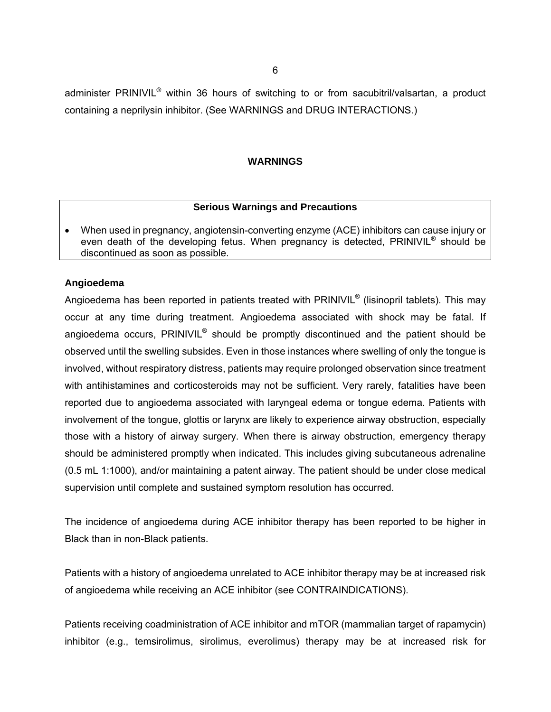administer PRINIVIL<sup>®</sup> within 36 hours of switching to or from sacubitril/valsartan, a product containing a neprilysin inhibitor. (See WARNINGS and DRUG INTERACTIONS.)

#### **WARNINGS**

#### **Serious Warnings and Precautions**

 When used in pregnancy, angiotensin-converting enzyme (ACE) inhibitors can cause injury or even death of the developing fetus. When pregnancy is detected, PRINIVIL<sup>®</sup> should be discontinued as soon as possible.

#### **Angioedema**

Angioedema has been reported in patients treated with PRINIVIL<sup>®</sup> (lisinopril tablets). This may occur at any time during treatment. Angioedema associated with shock may be fatal. If angioedema occurs, PRINIVIL<sup>®</sup> should be promptly discontinued and the patient should be observed until the swelling subsides. Even in those instances where swelling of only the tongue is involved, without respiratory distress, patients may require prolonged observation since treatment with antihistamines and corticosteroids may not be sufficient. Very rarely, fatalities have been reported due to angioedema associated with laryngeal edema or tongue edema. Patients with involvement of the tongue, glottis or larynx are likely to experience airway obstruction, especially those with a history of airway surgery. When there is airway obstruction, emergency therapy should be administered promptly when indicated. This includes giving subcutaneous adrenaline (0.5 mL 1:1000), and/or maintaining a patent airway. The patient should be under close medical supervision until complete and sustained symptom resolution has occurred.

The incidence of angioedema during ACE inhibitor therapy has been reported to be higher in Black than in non-Black patients.

Patients with a history of angioedema unrelated to ACE inhibitor therapy may be at increased risk of angioedema while receiving an ACE inhibitor (see CONTRAINDICATIONS).

Patients receiving coadministration of ACE inhibitor and mTOR (mammalian target of rapamycin) inhibitor (e.g., temsirolimus, sirolimus, everolimus) therapy may be at increased risk for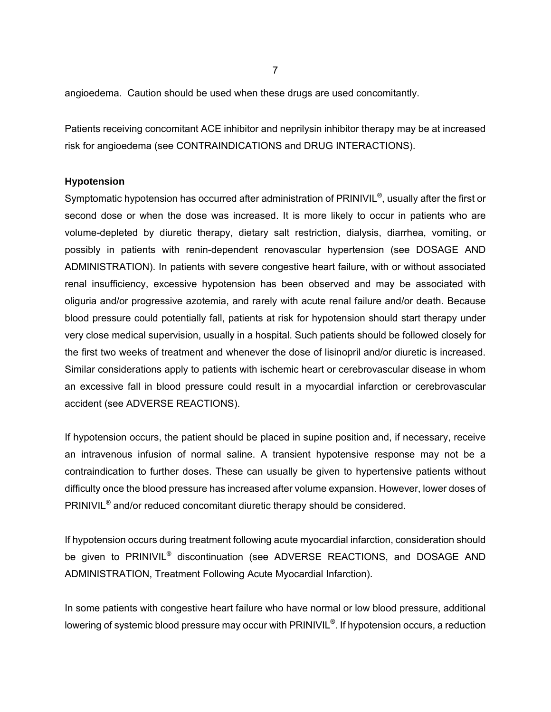7

angioedema. Caution should be used when these drugs are used concomitantly.

Patients receiving concomitant ACE inhibitor and neprilysin inhibitor therapy may be at increased risk for angioedema (see CONTRAINDICATIONS and DRUG INTERACTIONS).

#### **Hypotension**

Symptomatic hypotension has occurred after administration of PRINIVIL<sup>®</sup>, usually after the first or second dose or when the dose was increased. It is more likely to occur in patients who are volume-depleted by diuretic therapy, dietary salt restriction, dialysis, diarrhea, vomiting, or possibly in patients with renin-dependent renovascular hypertension (see DOSAGE AND ADMINISTRATION). In patients with severe congestive heart failure, with or without associated renal insufficiency, excessive hypotension has been observed and may be associated with oliguria and/or progressive azotemia, and rarely with acute renal failure and/or death. Because blood pressure could potentially fall, patients at risk for hypotension should start therapy under very close medical supervision, usually in a hospital. Such patients should be followed closely for the first two weeks of treatment and whenever the dose of lisinopril and/or diuretic is increased. Similar considerations apply to patients with ischemic heart or cerebrovascular disease in whom an excessive fall in blood pressure could result in a myocardial infarction or cerebrovascular accident (see ADVERSE REACTIONS).

If hypotension occurs, the patient should be placed in supine position and, if necessary, receive an intravenous infusion of normal saline. A transient hypotensive response may not be a contraindication to further doses. These can usually be given to hypertensive patients without difficulty once the blood pressure has increased after volume expansion. However, lower doses of PRINIVIL® and/or reduced concomitant diuretic therapy should be considered.

If hypotension occurs during treatment following acute myocardial infarction, consideration should be given to PRINIVIL<sup>®</sup> discontinuation (see ADVERSE REACTIONS, and DOSAGE AND ADMINISTRATION, Treatment Following Acute Myocardial Infarction).

In some patients with congestive heart failure who have normal or low blood pressure, additional lowering of systemic blood pressure may occur with PRINIVIL®. If hypotension occurs, a reduction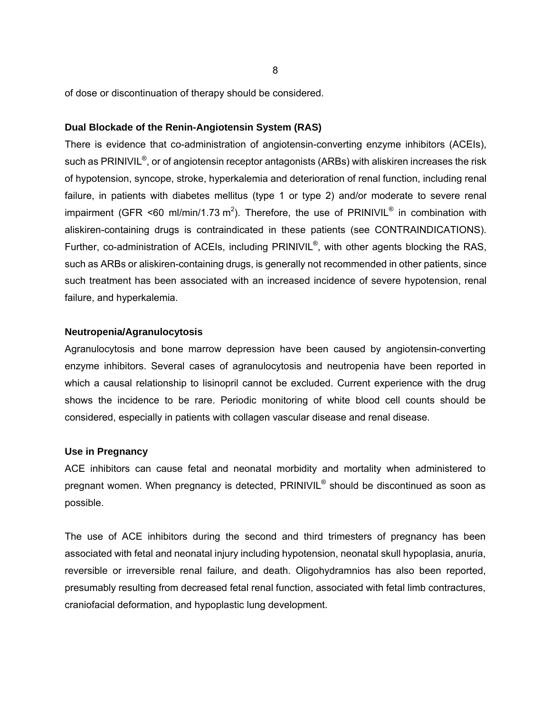of dose or discontinuation of therapy should be considered.

#### **Dual Blockade of the Renin-Angiotensin System (RAS)**

There is evidence that co-administration of angiotensin-converting enzyme inhibitors (ACEIs), such as PRINIVIL<sup>®</sup>, or of angiotensin receptor antagonists (ARBs) with aliskiren increases the risk of hypotension, syncope, stroke, hyperkalemia and deterioration of renal function, including renal failure, in patients with diabetes mellitus (type 1 or type 2) and/or moderate to severe renal impairment (GFR <60 ml/min/1.73 m<sup>2</sup>). Therefore, the use of PRINIVIL<sup>®</sup> in combination with aliskiren-containing drugs is contraindicated in these patients (see CONTRAINDICATIONS). Further, co-administration of ACEIs, including PRINIVIL®, with other agents blocking the RAS, such as ARBs or aliskiren-containing drugs, is generally not recommended in other patients, since such treatment has been associated with an increased incidence of severe hypotension, renal failure, and hyperkalemia.

#### **Neutropenia/Agranulocytosis**

Agranulocytosis and bone marrow depression have been caused by angiotensin-converting enzyme inhibitors. Several cases of agranulocytosis and neutropenia have been reported in which a causal relationship to lisinopril cannot be excluded. Current experience with the drug shows the incidence to be rare. Periodic monitoring of white blood cell counts should be considered, especially in patients with collagen vascular disease and renal disease.

### **Use in Pregnancy**

ACE inhibitors can cause fetal and neonatal morbidity and mortality when administered to pregnant women. When pregnancy is detected, PRINIVIL® should be discontinued as soon as possible.

The use of ACE inhibitors during the second and third trimesters of pregnancy has been associated with fetal and neonatal injury including hypotension, neonatal skull hypoplasia, anuria, reversible or irreversible renal failure, and death. Oligohydramnios has also been reported, presumably resulting from decreased fetal renal function, associated with fetal limb contractures, craniofacial deformation, and hypoplastic lung development.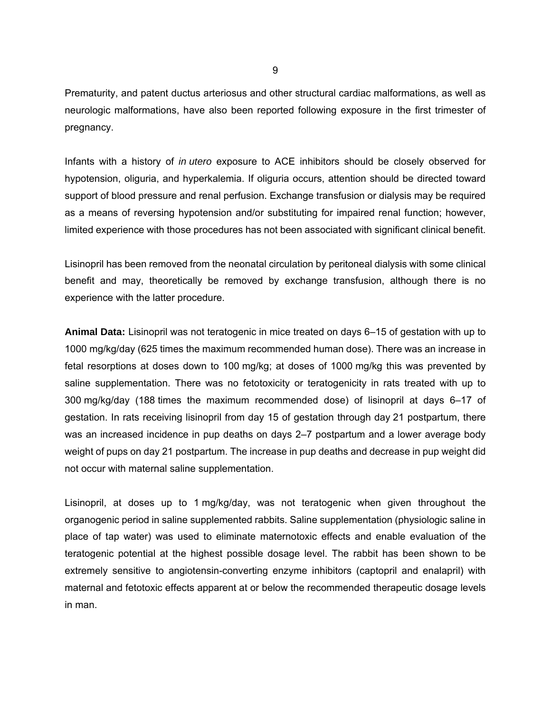Prematurity, and patent ductus arteriosus and other structural cardiac malformations, as well as neurologic malformations, have also been reported following exposure in the first trimester of pregnancy.

Infants with a history of *in utero* exposure to ACE inhibitors should be closely observed for hypotension, oliguria, and hyperkalemia. If oliguria occurs, attention should be directed toward support of blood pressure and renal perfusion. Exchange transfusion or dialysis may be required as a means of reversing hypotension and/or substituting for impaired renal function; however, limited experience with those procedures has not been associated with significant clinical benefit.

Lisinopril has been removed from the neonatal circulation by peritoneal dialysis with some clinical benefit and may, theoretically be removed by exchange transfusion, although there is no experience with the latter procedure.

**Animal Data:** Lisinopril was not teratogenic in mice treated on days 6–15 of gestation with up to 1000 mg/kg/day (625 times the maximum recommended human dose). There was an increase in fetal resorptions at doses down to 100 mg/kg; at doses of 1000 mg/kg this was prevented by saline supplementation. There was no fetotoxicity or teratogenicity in rats treated with up to 300 mg/kg/day (188 times the maximum recommended dose) of lisinopril at days 6–17 of gestation. In rats receiving lisinopril from day 15 of gestation through day 21 postpartum, there was an increased incidence in pup deaths on days 2–7 postpartum and a lower average body weight of pups on day 21 postpartum. The increase in pup deaths and decrease in pup weight did not occur with maternal saline supplementation.

Lisinopril, at doses up to 1 mg/kg/day, was not teratogenic when given throughout the organogenic period in saline supplemented rabbits. Saline supplementation (physiologic saline in place of tap water) was used to eliminate maternotoxic effects and enable evaluation of the teratogenic potential at the highest possible dosage level. The rabbit has been shown to be extremely sensitive to angiotensin-converting enzyme inhibitors (captopril and enalapril) with maternal and fetotoxic effects apparent at or below the recommended therapeutic dosage levels in man.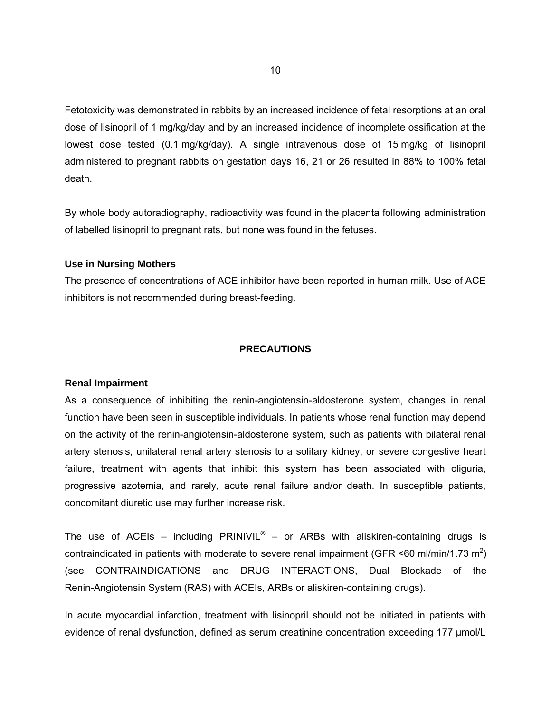Fetotoxicity was demonstrated in rabbits by an increased incidence of fetal resorptions at an oral dose of lisinopril of 1 mg/kg/day and by an increased incidence of incomplete ossification at the lowest dose tested (0.1 mg/kg/day). A single intravenous dose of 15 mg/kg of lisinopril administered to pregnant rabbits on gestation days 16, 21 or 26 resulted in 88% to 100% fetal death.

By whole body autoradiography, radioactivity was found in the placenta following administration of labelled lisinopril to pregnant rats, but none was found in the fetuses.

#### **Use in Nursing Mothers**

The presence of concentrations of ACE inhibitor have been reported in human milk. Use of ACE inhibitors is not recommended during breast-feeding.

#### **PRECAUTIONS**

#### **Renal Impairment**

As a consequence of inhibiting the renin-angiotensin-aldosterone system, changes in renal function have been seen in susceptible individuals. In patients whose renal function may depend on the activity of the renin-angiotensin-aldosterone system, such as patients with bilateral renal artery stenosis, unilateral renal artery stenosis to a solitary kidney, or severe congestive heart failure, treatment with agents that inhibit this system has been associated with oliguria, progressive azotemia, and rarely, acute renal failure and/or death. In susceptible patients, concomitant diuretic use may further increase risk.

The use of ACEIs – including PRINIVIL<sup>®</sup> – or ARBs with aliskiren-containing drugs is contraindicated in patients with moderate to severe renal impairment (GFR <60 ml/min/1.73 m<sup>2</sup>) (see CONTRAINDICATIONS and DRUG INTERACTIONS, Dual Blockade of the Renin-Angiotensin System (RAS) with ACEIs, ARBs or aliskiren-containing drugs).

In acute myocardial infarction, treatment with lisinopril should not be initiated in patients with evidence of renal dysfunction, defined as serum creatinine concentration exceeding 177 µmol/L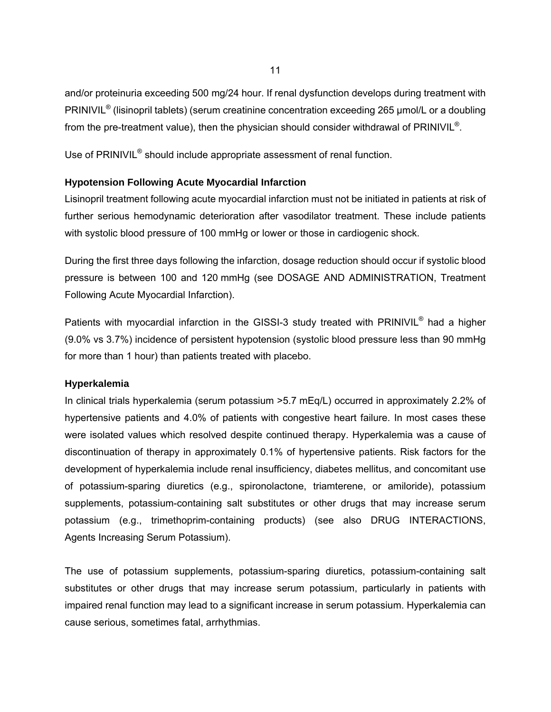and/or proteinuria exceeding 500 mg/24 hour. If renal dysfunction develops during treatment with PRINIVIL<sup>®</sup> (lisinopril tablets) (serum creatinine concentration exceeding 265 µmol/L or a doubling from the pre-treatment value), then the physician should consider withdrawal of PRINIVIL®.

Use of PRINIVIL<sup>®</sup> should include appropriate assessment of renal function.

## **Hypotension Following Acute Myocardial Infarction**

Lisinopril treatment following acute myocardial infarction must not be initiated in patients at risk of further serious hemodynamic deterioration after vasodilator treatment. These include patients with systolic blood pressure of 100 mmHg or lower or those in cardiogenic shock.

During the first three days following the infarction, dosage reduction should occur if systolic blood pressure is between 100 and 120 mmHg (see DOSAGE AND ADMINISTRATION, Treatment Following Acute Myocardial Infarction).

Patients with myocardial infarction in the GISSI-3 study treated with PRINIVIL® had a higher (9.0% vs 3.7%) incidence of persistent hypotension (systolic blood pressure less than 90 mmHg for more than 1 hour) than patients treated with placebo.

## **Hyperkalemia**

In clinical trials hyperkalemia (serum potassium >5.7 mEq/L) occurred in approximately 2.2% of hypertensive patients and 4.0% of patients with congestive heart failure. In most cases these were isolated values which resolved despite continued therapy. Hyperkalemia was a cause of discontinuation of therapy in approximately 0.1% of hypertensive patients. Risk factors for the development of hyperkalemia include renal insufficiency, diabetes mellitus, and concomitant use of potassium-sparing diuretics (e.g., spironolactone, triamterene, or amiloride), potassium supplements, potassium-containing salt substitutes or other drugs that may increase serum potassium (e.g., trimethoprim-containing products) (see also DRUG INTERACTIONS, Agents Increasing Serum Potassium).

The use of potassium supplements, potassium-sparing diuretics, potassium-containing salt substitutes or other drugs that may increase serum potassium, particularly in patients with impaired renal function may lead to a significant increase in serum potassium. Hyperkalemia can cause serious, sometimes fatal, arrhythmias.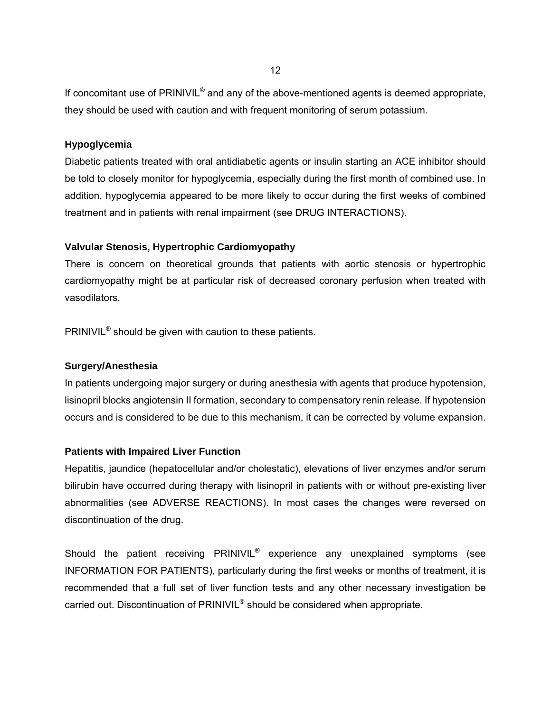If concomitant use of PRINIVIL<sup>®</sup> and any of the above-mentioned agents is deemed appropriate, they should be used with caution and with frequent monitoring of serum potassium.

### **Hypoglycemia**

Diabetic patients treated with oral antidiabetic agents or insulin starting an ACE inhibitor should be told to closely monitor for hypoglycemia, especially during the first month of combined use. In addition, hypoglycemia appeared to be more likely to occur during the first weeks of combined treatment and in patients with renal impairment (see DRUG INTERACTIONS).

### **Valvular Stenosis, Hypertrophic Cardiomyopathy**

There is concern on theoretical grounds that patients with aortic stenosis or hypertrophic cardiomyopathy might be at particular risk of decreased coronary perfusion when treated with vasodilators.

PRINIVIL® should be given with caution to these patients.

### **Surgery/Anesthesia**

In patients undergoing major surgery or during anesthesia with agents that produce hypotension, lisinopril blocks angiotensin II formation, secondary to compensatory renin release. If hypotension occurs and is considered to be due to this mechanism, it can be corrected by volume expansion.

#### **Patients with Impaired Liver Function**

Hepatitis, jaundice (hepatocellular and/or cholestatic), elevations of liver enzymes and/or serum bilirubin have occurred during therapy with lisinopril in patients with or without pre-existing liver abnormalities (see ADVERSE REACTIONS). In most cases the changes were reversed on discontinuation of the drug.

Should the patient receiving PRINIVIL® experience any unexplained symptoms (see INFORMATION FOR PATIENTS), particularly during the first weeks or months of treatment, it is recommended that a full set of liver function tests and any other necessary investigation be carried out. Discontinuation of PRINIVIL<sup>®</sup> should be considered when appropriate.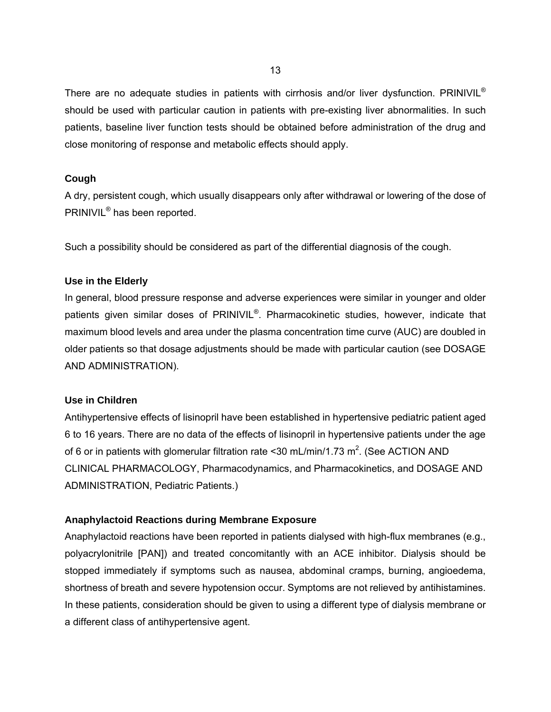There are no adequate studies in patients with cirrhosis and/or liver dysfunction. PRINIVIL<sup>®</sup> should be used with particular caution in patients with pre-existing liver abnormalities. In such patients, baseline liver function tests should be obtained before administration of the drug and close monitoring of response and metabolic effects should apply.

### **Cough**

A dry, persistent cough, which usually disappears only after withdrawal or lowering of the dose of PRINIVIL® has been reported.

Such a possibility should be considered as part of the differential diagnosis of the cough.

### **Use in the Elderly**

In general, blood pressure response and adverse experiences were similar in younger and older patients given similar doses of PRINIVIL®. Pharmacokinetic studies, however, indicate that maximum blood levels and area under the plasma concentration time curve (AUC) are doubled in older patients so that dosage adjustments should be made with particular caution (see DOSAGE AND ADMINISTRATION).

#### **Use in Children**

Antihypertensive effects of lisinopril have been established in hypertensive pediatric patient aged 6 to 16 years. There are no data of the effects of lisinopril in hypertensive patients under the age of 6 or in patients with glomerular filtration rate < 30 mL/min/1.73 m<sup>2</sup>. (See ACTION AND CLINICAL PHARMACOLOGY, Pharmacodynamics, and Pharmacokinetics, and DOSAGE AND ADMINISTRATION, Pediatric Patients.)

## **Anaphylactoid Reactions during Membrane Exposure**

Anaphylactoid reactions have been reported in patients dialysed with high-flux membranes (e.g., polyacrylonitrile [PAN]) and treated concomitantly with an ACE inhibitor. Dialysis should be stopped immediately if symptoms such as nausea, abdominal cramps, burning, angioedema, shortness of breath and severe hypotension occur. Symptoms are not relieved by antihistamines. In these patients, consideration should be given to using a different type of dialysis membrane or a different class of antihypertensive agent.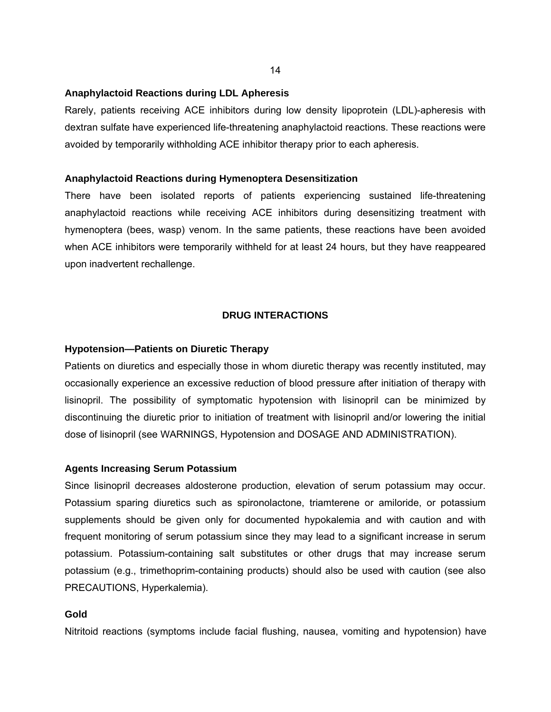#### **Anaphylactoid Reactions during LDL Apheresis**

Rarely, patients receiving ACE inhibitors during low density lipoprotein (LDL)-apheresis with dextran sulfate have experienced life-threatening anaphylactoid reactions. These reactions were avoided by temporarily withholding ACE inhibitor therapy prior to each apheresis.

#### **Anaphylactoid Reactions during Hymenoptera Desensitization**

There have been isolated reports of patients experiencing sustained life-threatening anaphylactoid reactions while receiving ACE inhibitors during desensitizing treatment with hymenoptera (bees, wasp) venom. In the same patients, these reactions have been avoided when ACE inhibitors were temporarily withheld for at least 24 hours, but they have reappeared upon inadvertent rechallenge.

### **DRUG INTERACTIONS**

#### **Hypotension—Patients on Diuretic Therapy**

Patients on diuretics and especially those in whom diuretic therapy was recently instituted, may occasionally experience an excessive reduction of blood pressure after initiation of therapy with lisinopril. The possibility of symptomatic hypotension with lisinopril can be minimized by discontinuing the diuretic prior to initiation of treatment with lisinopril and/or lowering the initial dose of lisinopril (see WARNINGS, Hypotension and DOSAGE AND ADMINISTRATION).

#### **Agents Increasing Serum Potassium**

Since lisinopril decreases aldosterone production, elevation of serum potassium may occur. Potassium sparing diuretics such as spironolactone, triamterene or amiloride, or potassium supplements should be given only for documented hypokalemia and with caution and with frequent monitoring of serum potassium since they may lead to a significant increase in serum potassium. Potassium-containing salt substitutes or other drugs that may increase serum potassium (e.g., trimethoprim-containing products) should also be used with caution (see also PRECAUTIONS, Hyperkalemia).

#### **Gold**

Nitritoid reactions (symptoms include facial flushing, nausea, vomiting and hypotension) have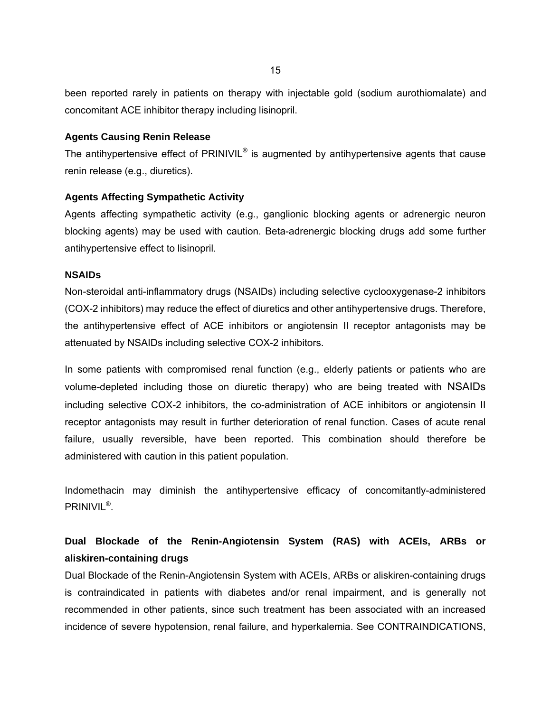been reported rarely in patients on therapy with injectable gold (sodium aurothiomalate) and concomitant ACE inhibitor therapy including lisinopril.

#### **Agents Causing Renin Release**

The antihypertensive effect of  $PRINIVIL<sup>®</sup>$  is augmented by antihypertensive agents that cause renin release (e.g., diuretics).

## **Agents Affecting Sympathetic Activity**

Agents affecting sympathetic activity (e.g., ganglionic blocking agents or adrenergic neuron blocking agents) may be used with caution. Beta-adrenergic blocking drugs add some further antihypertensive effect to lisinopril.

### **NSAIDs**

Non-steroidal anti-inflammatory drugs (NSAIDs) including selective cyclooxygenase-2 inhibitors (COX-2 inhibitors) may reduce the effect of diuretics and other antihypertensive drugs. Therefore, the antihypertensive effect of ACE inhibitors or angiotensin II receptor antagonists may be attenuated by NSAIDs including selective COX-2 inhibitors.

In some patients with compromised renal function (e.g., elderly patients or patients who are volume-depleted including those on diuretic therapy) who are being treated with NSAIDs including selective COX-2 inhibitors, the co-administration of ACE inhibitors or angiotensin II receptor antagonists may result in further deterioration of renal function. Cases of acute renal failure, usually reversible, have been reported. This combination should therefore be administered with caution in this patient population.

Indomethacin may diminish the antihypertensive efficacy of concomitantly-administered PRINIVII<sup>®</sup>

# **Dual Blockade of the Renin-Angiotensin System (RAS) with ACEIs, ARBs or aliskiren-containing drugs**

Dual Blockade of the Renin-Angiotensin System with ACEIs, ARBs or aliskiren-containing drugs is contraindicated in patients with diabetes and/or renal impairment, and is generally not recommended in other patients, since such treatment has been associated with an increased incidence of severe hypotension, renal failure, and hyperkalemia. See CONTRAINDICATIONS,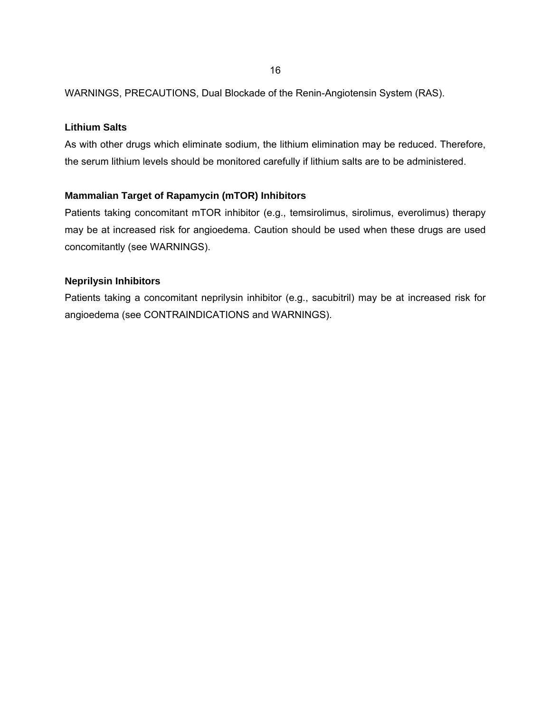WARNINGS, PRECAUTIONS, Dual Blockade of the Renin-Angiotensin System (RAS).

## **Lithium Salts**

As with other drugs which eliminate sodium, the lithium elimination may be reduced. Therefore, the serum lithium levels should be monitored carefully if lithium salts are to be administered.

## **Mammalian Target of Rapamycin (mTOR) Inhibitors**

Patients taking concomitant mTOR inhibitor (e.g., temsirolimus, sirolimus, everolimus) therapy may be at increased risk for angioedema. Caution should be used when these drugs are used concomitantly (see WARNINGS).

#### **Neprilysin Inhibitors**

Patients taking a concomitant neprilysin inhibitor (e.g., sacubitril) may be at increased risk for angioedema (see CONTRAINDICATIONS and WARNINGS).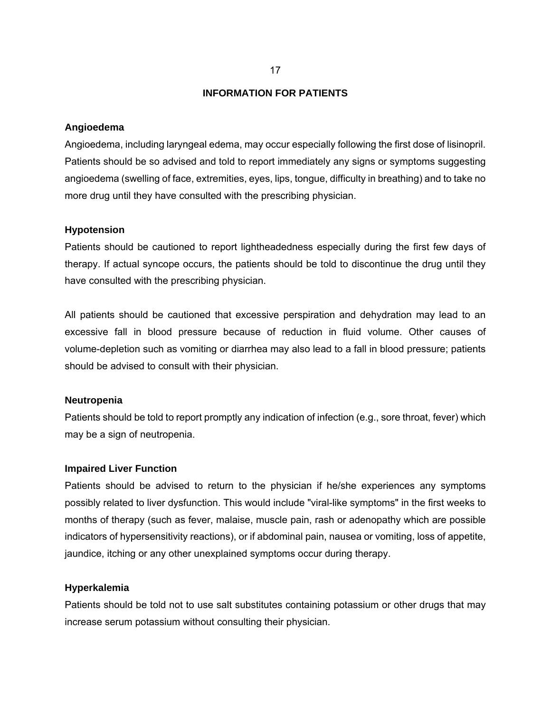### **INFORMATION FOR PATIENTS**

#### **Angioedema**

Angioedema, including laryngeal edema, may occur especially following the first dose of lisinopril. Patients should be so advised and told to report immediately any signs or symptoms suggesting angioedema (swelling of face, extremities, eyes, lips, tongue, difficulty in breathing) and to take no more drug until they have consulted with the prescribing physician.

#### **Hypotension**

Patients should be cautioned to report lightheadedness especially during the first few days of therapy. If actual syncope occurs, the patients should be told to discontinue the drug until they have consulted with the prescribing physician.

All patients should be cautioned that excessive perspiration and dehydration may lead to an excessive fall in blood pressure because of reduction in fluid volume. Other causes of volume-depletion such as vomiting or diarrhea may also lead to a fall in blood pressure; patients should be advised to consult with their physician.

#### **Neutropenia**

Patients should be told to report promptly any indication of infection (e.g., sore throat, fever) which may be a sign of neutropenia.

#### **Impaired Liver Function**

Patients should be advised to return to the physician if he/she experiences any symptoms possibly related to liver dysfunction. This would include "viral-like symptoms" in the first weeks to months of therapy (such as fever, malaise, muscle pain, rash or adenopathy which are possible indicators of hypersensitivity reactions), or if abdominal pain, nausea or vomiting, loss of appetite, jaundice, itching or any other unexplained symptoms occur during therapy.

#### **Hyperkalemia**

Patients should be told not to use salt substitutes containing potassium or other drugs that may increase serum potassium without consulting their physician.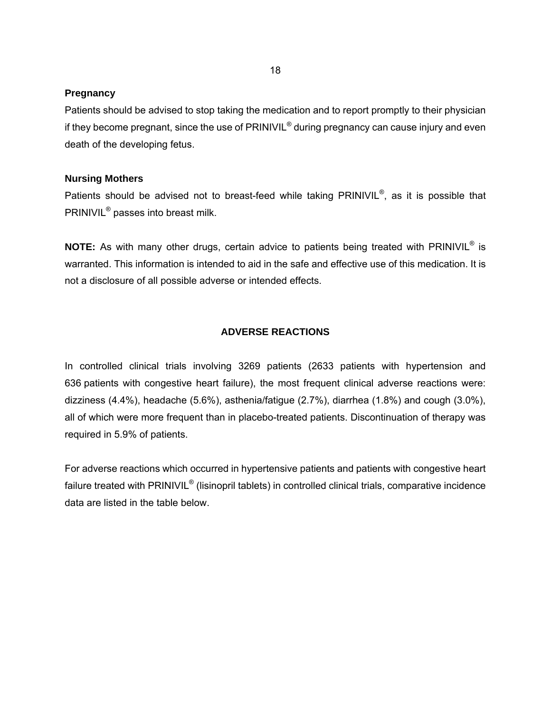### **Pregnancy**

Patients should be advised to stop taking the medication and to report promptly to their physician if they become pregnant, since the use of PRINIVIL<sup>®</sup> during pregnancy can cause injury and even death of the developing fetus.

#### **Nursing Mothers**

Patients should be advised not to breast-feed while taking PRINIVIL®, as it is possible that PRINIVIL® passes into breast milk.

**NOTE:** As with many other drugs, certain advice to patients being treated with PRINIVIL® is warranted. This information is intended to aid in the safe and effective use of this medication. It is not a disclosure of all possible adverse or intended effects.

## **ADVERSE REACTIONS**

In controlled clinical trials involving 3269 patients (2633 patients with hypertension and 636 patients with congestive heart failure), the most frequent clinical adverse reactions were: dizziness (4.4%), headache (5.6%), asthenia/fatigue (2.7%), diarrhea (1.8%) and cough (3.0%), all of which were more frequent than in placebo-treated patients. Discontinuation of therapy was required in 5.9% of patients.

For adverse reactions which occurred in hypertensive patients and patients with congestive heart failure treated with PRINIVIL<sup>®</sup> (lisinopril tablets) in controlled clinical trials, comparative incidence data are listed in the table below.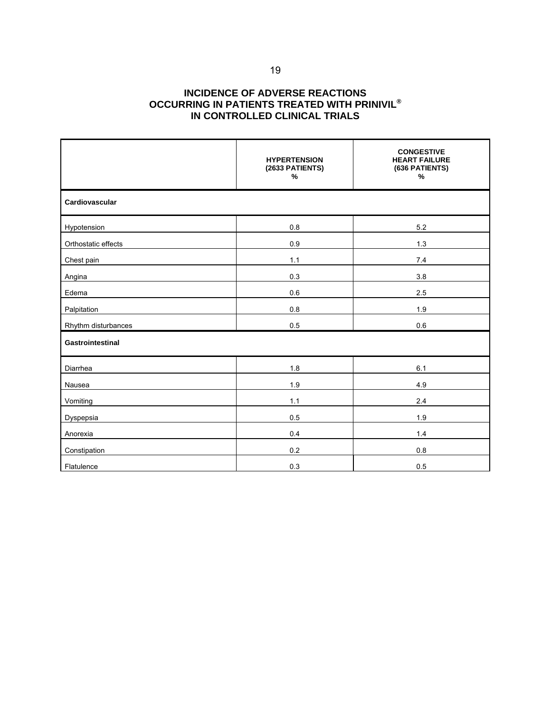## **INCIDENCE OF ADVERSE REACTIONS OCCURRING IN PATIENTS TREATED WITH PRINIVIL® IN CONTROLLED CLINICAL TRIALS**

|                     | <b>HYPERTENSION</b><br>(2633 PATIENTS)<br>$\%$ | <b>CONGESTIVE</b><br><b>HEART FAILURE</b><br>(636 PATIENTS)<br>% |
|---------------------|------------------------------------------------|------------------------------------------------------------------|
| Cardiovascular      |                                                |                                                                  |
| Hypotension         | 0.8                                            | 5.2                                                              |
| Orthostatic effects | 0.9                                            | 1.3                                                              |
| Chest pain          | 1.1                                            | 7.4                                                              |
| Angina              | 0.3                                            | 3.8                                                              |
| Edema               | 0.6                                            | 2.5                                                              |
| Palpitation         | 0.8                                            | 1.9                                                              |
| Rhythm disturbances | 0.5                                            | 0.6                                                              |
| Gastrointestinal    |                                                |                                                                  |
| Diarrhea            | 1.8                                            | 6.1                                                              |
| Nausea              | 1.9                                            | 4.9                                                              |
| Vomiting            | 1.1                                            | 2.4                                                              |
| Dyspepsia           | 0.5                                            | 1.9                                                              |
| Anorexia            | 0.4                                            | 1.4                                                              |
| Constipation        | 0.2                                            | 0.8                                                              |
| Flatulence          | 0.3                                            | 0.5                                                              |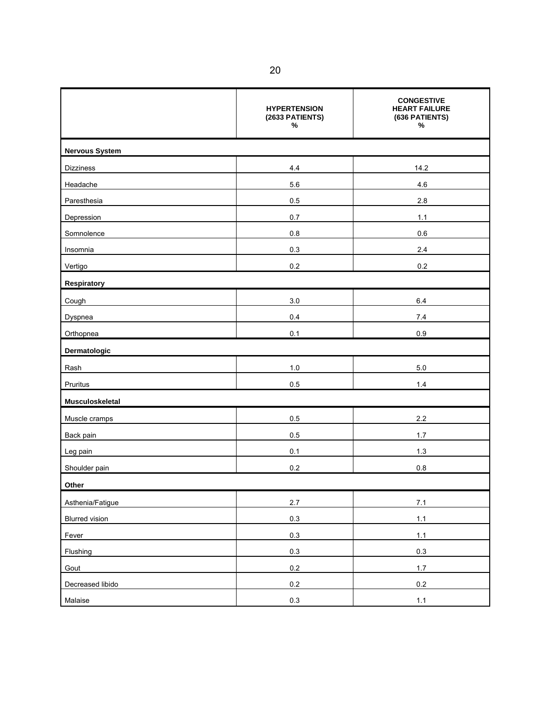|                       | <b>HYPERTENSION</b><br>(2633 PATIENTS)<br>$\%$ | <b>CONGESTIVE</b><br><b>HEART FAILURE</b><br>(636 PATIENTS)<br>$\%$ |
|-----------------------|------------------------------------------------|---------------------------------------------------------------------|
| <b>Nervous System</b> |                                                |                                                                     |
| <b>Dizziness</b>      | 4.4                                            | 14.2                                                                |
| Headache              | 5.6                                            | 4.6                                                                 |
| Paresthesia           | 0.5                                            | 2.8                                                                 |
| Depression            | $0.7\,$                                        | 1.1                                                                 |
| Somnolence            | 0.8                                            | 0.6                                                                 |
| Insomnia              | 0.3                                            | 2.4                                                                 |
| Vertigo               | 0.2                                            | 0.2                                                                 |
| <b>Respiratory</b>    |                                                |                                                                     |
| Cough                 | 3.0                                            | 6.4                                                                 |
| Dyspnea               | 0.4                                            | 7.4                                                                 |
| Orthopnea             | 0.1                                            | 0.9                                                                 |
| Dermatologic          |                                                |                                                                     |
| Rash                  | 1.0                                            | 5.0                                                                 |
| Pruritus              | 0.5                                            | 1.4                                                                 |
| Musculoskeletal       |                                                |                                                                     |
| Muscle cramps         | 0.5                                            | 2.2                                                                 |
| Back pain             | 0.5                                            | 1.7                                                                 |
| Leg pain              | 0.1                                            | 1.3                                                                 |
| Shoulder pain         | 0.2                                            | 0.8                                                                 |
| Other                 |                                                |                                                                     |
| Asthenia/Fatigue      | $2.7\,$                                        | 7.1                                                                 |
| Blurred vision        | $0.3\,$                                        | 1.1                                                                 |
| Fever                 | $0.3\,$                                        | $1.1$                                                               |
| Flushing              | 0.3                                            | 0.3                                                                 |
| Gout                  | $0.2\,$                                        | $1.7$                                                               |
| Decreased libido      | 0.2                                            | 0.2                                                                 |
| Malaise               | $0.3\,$                                        | $1.1$                                                               |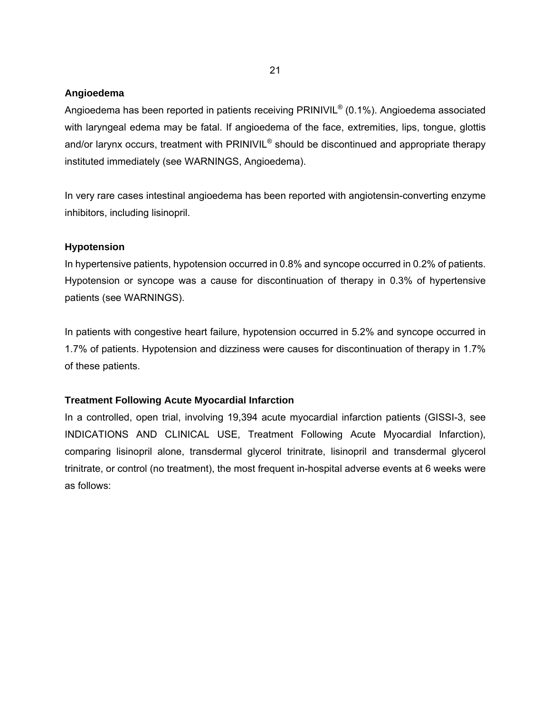### **Angioedema**

Angioedema has been reported in patients receiving PRINIVIL® (0.1%). Angioedema associated with laryngeal edema may be fatal. If angioedema of the face, extremities, lips, tongue, glottis and/or larynx occurs, treatment with PRINIVIL<sup>®</sup> should be discontinued and appropriate therapy instituted immediately (see WARNINGS, Angioedema).

In very rare cases intestinal angioedema has been reported with angiotensin-converting enzyme inhibitors, including lisinopril.

#### **Hypotension**

In hypertensive patients, hypotension occurred in 0.8% and syncope occurred in 0.2% of patients. Hypotension or syncope was a cause for discontinuation of therapy in 0.3% of hypertensive patients (see WARNINGS).

In patients with congestive heart failure, hypotension occurred in 5.2% and syncope occurred in 1.7% of patients. Hypotension and dizziness were causes for discontinuation of therapy in 1.7% of these patients.

#### **Treatment Following Acute Myocardial Infarction**

In a controlled, open trial, involving 19,394 acute myocardial infarction patients (GISSI-3, see INDICATIONS AND CLINICAL USE, Treatment Following Acute Myocardial Infarction), comparing lisinopril alone, transdermal glycerol trinitrate, lisinopril and transdermal glycerol trinitrate, or control (no treatment), the most frequent in-hospital adverse events at 6 weeks were as follows: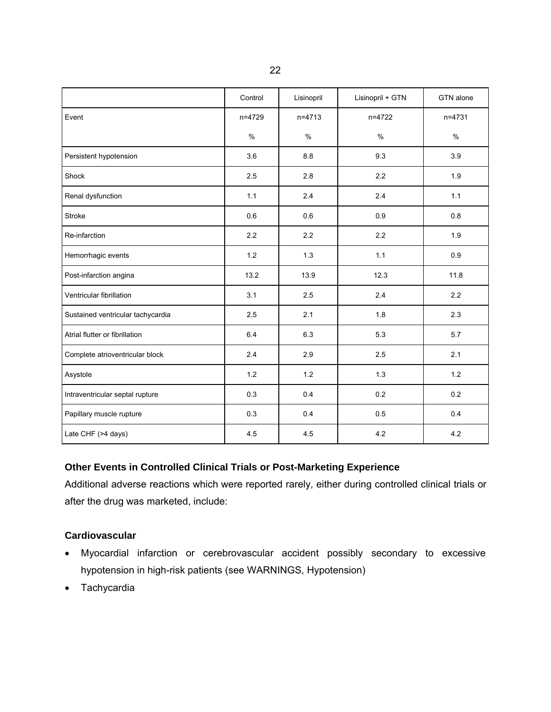|                                   | Control    | Lisinopril | Lisinopril + GTN | GTN alone |
|-----------------------------------|------------|------------|------------------|-----------|
| Event                             | $n = 4729$ | $n = 4713$ | $n = 4722$       | n=4731    |
|                                   | $\%$       | $\%$       | $\%$             | $\%$      |
| Persistent hypotension            | 3.6        | 8.8        | 9.3              | 3.9       |
| Shock                             | 2.5        | 2.8        | 2.2              | 1.9       |
| Renal dysfunction                 | 1.1        | 2.4        | 2.4              | 1.1       |
| <b>Stroke</b>                     | 0.6        | 0.6        | 0.9              | 0.8       |
| Re-infarction                     | 2.2        | 2.2        | 2.2              | 1.9       |
| Hemorrhagic events                | 1.2        | $1.3$      | 1.1              | 0.9       |
| Post-infarction angina            | 13.2       | 13.9       | 12.3             | 11.8      |
| Ventricular fibrillation          | 3.1        | 2.5        | 2.4              | 2.2       |
| Sustained ventricular tachycardia | 2.5        | 2.1        | 1.8              | 2.3       |
| Atrial flutter or fibrillation    | 6.4        | 6.3        | 5.3              | 5.7       |
| Complete atrioventricular block   | 2.4        | 2.9        | 2.5              | 2.1       |
| Asystole                          | 1.2        | 1.2        | 1.3              | 1.2       |
| Intraventricular septal rupture   | 0.3        | 0.4        | 0.2              | 0.2       |
| Papillary muscle rupture          | 0.3        | 0.4        | 0.5              | 0.4       |
| Late CHF (>4 days)                | 4.5        | 4.5        | 4.2              | 4.2       |

## **Other Events in Controlled Clinical Trials or Post-Marketing Experience**

Additional adverse reactions which were reported rarely, either during controlled clinical trials or after the drug was marketed, include:

## **Cardiovascular**

- Myocardial infarction or cerebrovascular accident possibly secondary to excessive hypotension in high-risk patients (see WARNINGS, Hypotension)
- Tachycardia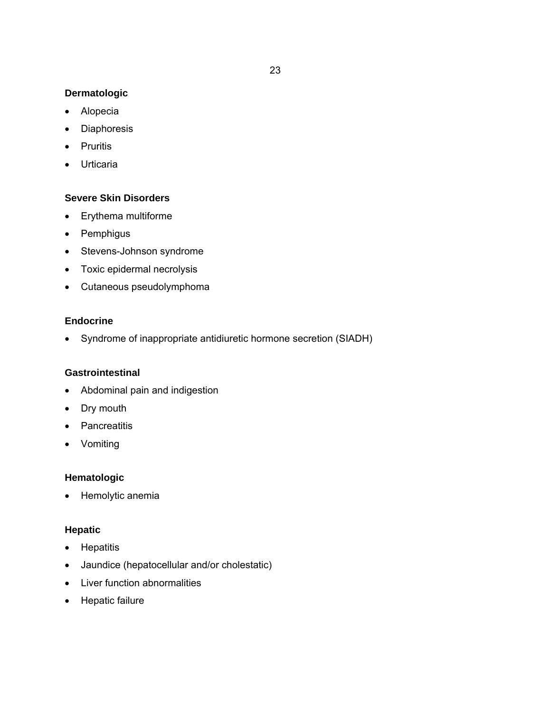### **Dermatologic**

- Alopecia
- Diaphoresis
- Pruritis
- Urticaria

## **Severe Skin Disorders**

- Erythema multiforme
- Pemphigus
- Stevens-Johnson syndrome
- Toxic epidermal necrolysis
- Cutaneous pseudolymphoma

## **Endocrine**

Syndrome of inappropriate antidiuretic hormone secretion (SIADH)

## **Gastrointestinal**

- Abdominal pain and indigestion
- Dry mouth
- Pancreatitis
- Vomiting

## **Hematologic**

• Hemolytic anemia

## **Hepatic**

- Hepatitis
- Jaundice (hepatocellular and/or cholestatic)
- Liver function abnormalities
- Hepatic failure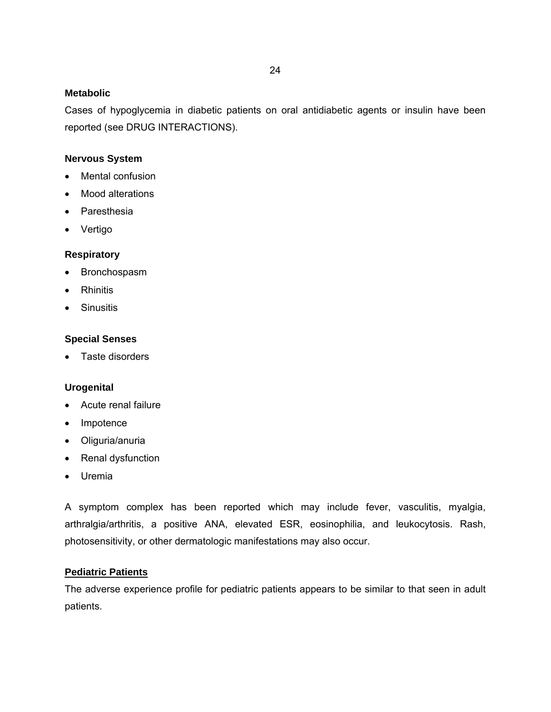### **Metabolic**

Cases of hypoglycemia in diabetic patients on oral antidiabetic agents or insulin have been reported (see DRUG INTERACTIONS).

## **Nervous System**

- Mental confusion
- Mood alterations
- Paresthesia
- Vertigo

### **Respiratory**

- Bronchospasm
- Rhinitis
- Sinusitis

#### **Special Senses**

• Taste disorders

### **Urogenital**

- Acute renal failure
- Impotence
- Oliguria/anuria
- Renal dysfunction
- Uremia

A symptom complex has been reported which may include fever, vasculitis, myalgia, arthralgia/arthritis, a positive ANA, elevated ESR, eosinophilia, and leukocytosis. Rash, photosensitivity, or other dermatologic manifestations may also occur.

#### **Pediatric Patients**

The adverse experience profile for pediatric patients appears to be similar to that seen in adult patients.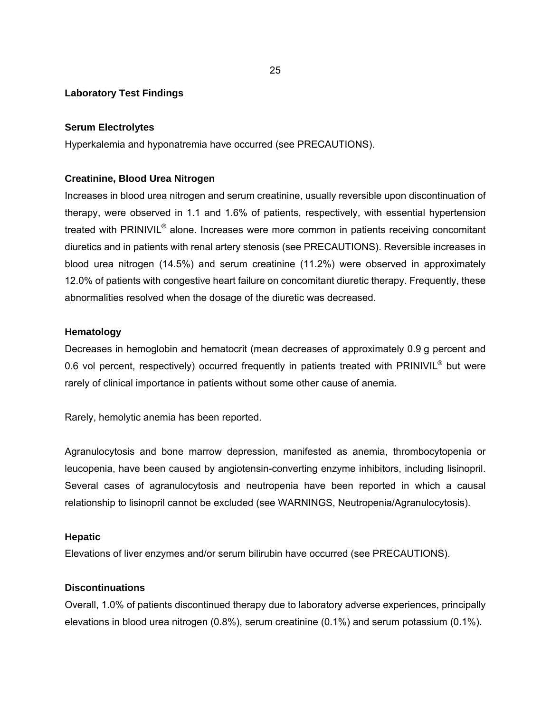### **Laboratory Test Findings**

#### **Serum Electrolytes**

Hyperkalemia and hyponatremia have occurred (see PRECAUTIONS).

### **Creatinine, Blood Urea Nitrogen**

Increases in blood urea nitrogen and serum creatinine, usually reversible upon discontinuation of therapy, were observed in 1.1 and 1.6% of patients, respectively, with essential hypertension treated with PRINIVIL® alone. Increases were more common in patients receiving concomitant diuretics and in patients with renal artery stenosis (see PRECAUTIONS). Reversible increases in blood urea nitrogen (14.5%) and serum creatinine (11.2%) were observed in approximately 12.0% of patients with congestive heart failure on concomitant diuretic therapy. Frequently, these abnormalities resolved when the dosage of the diuretic was decreased.

#### **Hematology**

Decreases in hemoglobin and hematocrit (mean decreases of approximately 0.9 g percent and 0.6 vol percent, respectively) occurred frequently in patients treated with PRINIVIL® but were rarely of clinical importance in patients without some other cause of anemia.

Rarely, hemolytic anemia has been reported.

Agranulocytosis and bone marrow depression, manifested as anemia, thrombocytopenia or leucopenia, have been caused by angiotensin-converting enzyme inhibitors, including lisinopril. Several cases of agranulocytosis and neutropenia have been reported in which a causal relationship to lisinopril cannot be excluded (see WARNINGS, Neutropenia/Agranulocytosis).

#### **Hepatic**

Elevations of liver enzymes and/or serum bilirubin have occurred (see PRECAUTIONS).

#### **Discontinuations**

Overall, 1.0% of patients discontinued therapy due to laboratory adverse experiences, principally elevations in blood urea nitrogen (0.8%), serum creatinine (0.1%) and serum potassium (0.1%).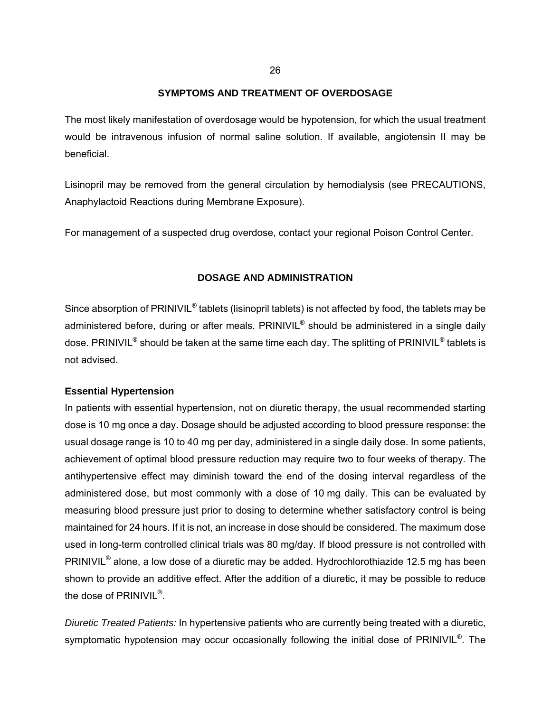#### **SYMPTOMS AND TREATMENT OF OVERDOSAGE**

The most likely manifestation of overdosage would be hypotension, for which the usual treatment would be intravenous infusion of normal saline solution. If available, angiotensin II may be beneficial.

Lisinopril may be removed from the general circulation by hemodialysis (see PRECAUTIONS, Anaphylactoid Reactions during Membrane Exposure).

For management of a suspected drug overdose, contact your regional Poison Control Center.

### **DOSAGE AND ADMINISTRATION**

Since absorption of PRINIVIL<sup>®</sup> tablets (lisinopril tablets) is not affected by food, the tablets may be administered before, during or after meals. PRINIVIL<sup>®</sup> should be administered in a single daily dose. PRINIVIL<sup>®</sup> should be taken at the same time each day. The splitting of PRINIVIL<sup>®</sup> tablets is not advised.

#### **Essential Hypertension**

In patients with essential hypertension, not on diuretic therapy, the usual recommended starting dose is 10 mg once a day. Dosage should be adjusted according to blood pressure response: the usual dosage range is 10 to 40 mg per day, administered in a single daily dose. In some patients, achievement of optimal blood pressure reduction may require two to four weeks of therapy. The antihypertensive effect may diminish toward the end of the dosing interval regardless of the administered dose, but most commonly with a dose of 10 mg daily. This can be evaluated by measuring blood pressure just prior to dosing to determine whether satisfactory control is being maintained for 24 hours. If it is not, an increase in dose should be considered. The maximum dose used in long-term controlled clinical trials was 80 mg/day. If blood pressure is not controlled with PRINIVIL® alone, a low dose of a diuretic may be added. Hydrochlorothiazide 12.5 mg has been shown to provide an additive effect. After the addition of a diuretic, it may be possible to reduce the dose of PRINIVIL®.

*Diuretic Treated Patients:* In hypertensive patients who are currently being treated with a diuretic, symptomatic hypotension may occur occasionally following the initial dose of PRINIVIL<sup>®</sup>. The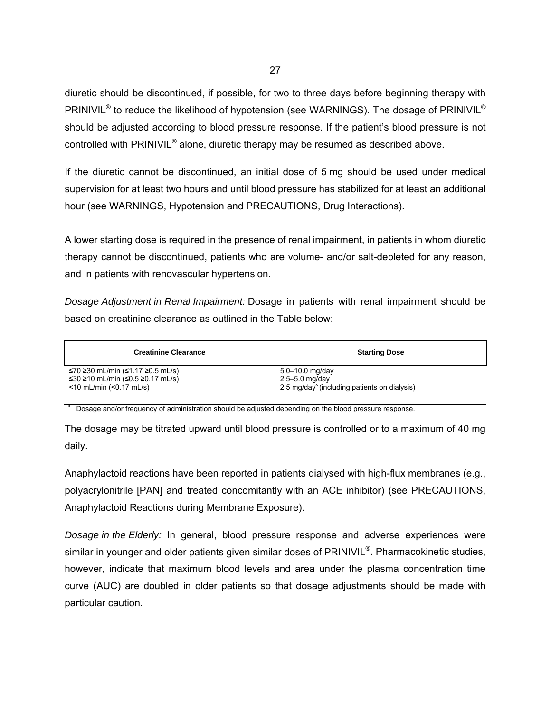diuretic should be discontinued, if possible, for two to three days before beginning therapy with PRINIVIL<sup>®</sup> to reduce the likelihood of hypotension (see WARNINGS). The dosage of PRINIVIL<sup>®</sup> should be adjusted according to blood pressure response. If the patient's blood pressure is not controlled with PRINIVIL® alone, diuretic therapy may be resumed as described above.

If the diuretic cannot be discontinued, an initial dose of 5 mg should be used under medical supervision for at least two hours and until blood pressure has stabilized for at least an additional hour (see WARNINGS, Hypotension and PRECAUTIONS, Drug Interactions).

A lower starting dose is required in the presence of renal impairment, in patients in whom diuretic therapy cannot be discontinued, patients who are volume- and/or salt-depleted for any reason, and in patients with renovascular hypertension.

*Dosage Adjustment in Renal Impairment:* Dosage in patients with renal impairment should be based on creatinine clearance as outlined in the Table below:

| <b>Creatinine Clearance</b>      | <b>Starting Dose</b>                                     |
|----------------------------------|----------------------------------------------------------|
| ≤70 ≥30 mL/min (≤1.17 ≥0.5 mL/s) | $5.0 - 10.0$ mg/day                                      |
| ≤30 ≥10 mL/min (≤0.5 ≥0.17 mL/s) | 2.5–5.0 mg/day                                           |
| $<$ 10 mL/min ( $<$ 0.17 mL/s)   | 2.5 mg/day <sup>x</sup> (including patients on dialysis) |

X Dosage and/or frequency of administration should be adjusted depending on the blood pressure response.

The dosage may be titrated upward until blood pressure is controlled or to a maximum of 40 mg daily.

Anaphylactoid reactions have been reported in patients dialysed with high-flux membranes (e.g., polyacrylonitrile [PAN] and treated concomitantly with an ACE inhibitor) (see PRECAUTIONS, Anaphylactoid Reactions during Membrane Exposure).

*Dosage in the Elderly:* In general, blood pressure response and adverse experiences were similar in younger and older patients given similar doses of PRINIVIL®. Pharmacokinetic studies, however, indicate that maximum blood levels and area under the plasma concentration time curve (AUC) are doubled in older patients so that dosage adjustments should be made with particular caution.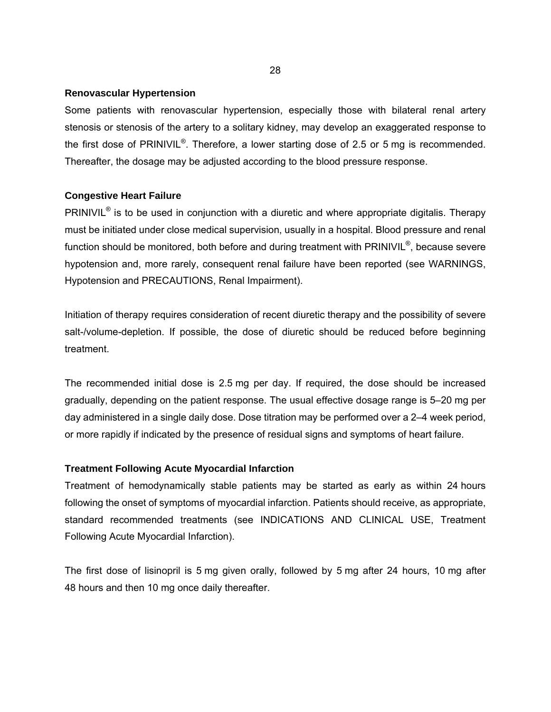#### **Renovascular Hypertension**

Some patients with renovascular hypertension, especially those with bilateral renal artery stenosis or stenosis of the artery to a solitary kidney, may develop an exaggerated response to the first dose of PRINIVIL®. Therefore, a lower starting dose of 2.5 or 5 mg is recommended. Thereafter, the dosage may be adjusted according to the blood pressure response.

#### **Congestive Heart Failure**

PRINIVIL<sup>®</sup> is to be used in conjunction with a diuretic and where appropriate digitalis. Therapy must be initiated under close medical supervision, usually in a hospital. Blood pressure and renal function should be monitored, both before and during treatment with PRINIVIL<sup>®</sup>, because severe hypotension and, more rarely, consequent renal failure have been reported (see WARNINGS, Hypotension and PRECAUTIONS, Renal Impairment).

Initiation of therapy requires consideration of recent diuretic therapy and the possibility of severe salt-/volume-depletion. If possible, the dose of diuretic should be reduced before beginning treatment.

The recommended initial dose is 2.5 mg per day. If required, the dose should be increased gradually, depending on the patient response. The usual effective dosage range is 5–20 mg per day administered in a single daily dose. Dose titration may be performed over a 2–4 week period, or more rapidly if indicated by the presence of residual signs and symptoms of heart failure.

#### **Treatment Following Acute Myocardial Infarction**

Treatment of hemodynamically stable patients may be started as early as within 24 hours following the onset of symptoms of myocardial infarction. Patients should receive, as appropriate, standard recommended treatments (see INDICATIONS AND CLINICAL USE, Treatment Following Acute Myocardial Infarction).

The first dose of lisinopril is 5 mg given orally, followed by 5 mg after 24 hours, 10 mg after 48 hours and then 10 mg once daily thereafter.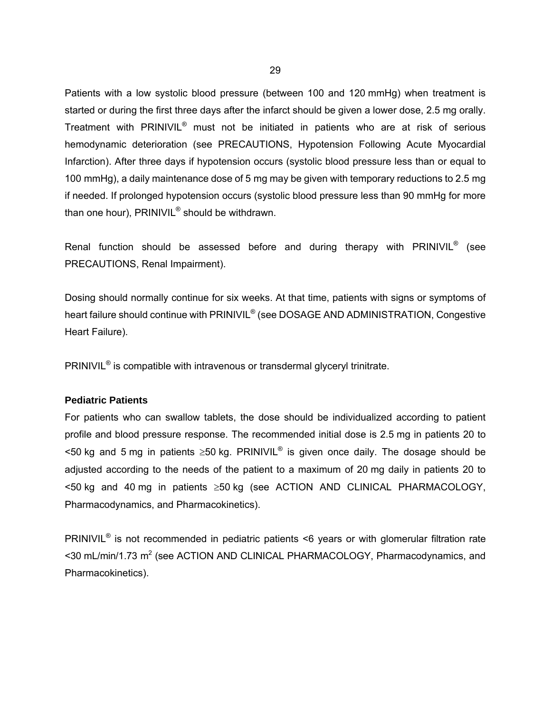Patients with a low systolic blood pressure (between 100 and 120 mmHg) when treatment is started or during the first three days after the infarct should be given a lower dose, 2.5 mg orally. Treatment with PRINIVIL® must not be initiated in patients who are at risk of serious hemodynamic deterioration (see PRECAUTIONS, Hypotension Following Acute Myocardial Infarction). After three days if hypotension occurs (systolic blood pressure less than or equal to 100 mmHg), a daily maintenance dose of 5 mg may be given with temporary reductions to 2.5 mg if needed. If prolonged hypotension occurs (systolic blood pressure less than 90 mmHg for more than one hour), PRINIVIL® should be withdrawn.

Renal function should be assessed before and during therapy with PRINIVIL<sup>®</sup> (see PRECAUTIONS, Renal Impairment).

Dosing should normally continue for six weeks. At that time, patients with signs or symptoms of heart failure should continue with PRINIVIL<sup>®</sup> (see DOSAGE AND ADMINISTRATION, Congestive Heart Failure).

PRINIVIL<sup>®</sup> is compatible with intravenous or transdermal glyceryl trinitrate.

### **Pediatric Patients**

For patients who can swallow tablets, the dose should be individualized according to patient profile and blood pressure response. The recommended initial dose is 2.5 mg in patients 20 to  $\leq$  50 kg and 5 mg in patients  $\geq$  50 kg. PRINIVIL<sup>®</sup> is given once daily. The dosage should be adjusted according to the needs of the patient to a maximum of 20 mg daily in patients 20 to  $\leq$  50 kg and 40 mg in patients  $\geq$  50 kg (see ACTION AND CLINICAL PHARMACOLOGY, Pharmacodynamics, and Pharmacokinetics).

PRINIVIL<sup>®</sup> is not recommended in pediatric patients <6 years or with glomerular filtration rate  $<$ 30 mL/min/1.73 m<sup>2</sup> (see ACTION AND CLINICAL PHARMACOLOGY, Pharmacodynamics, and Pharmacokinetics).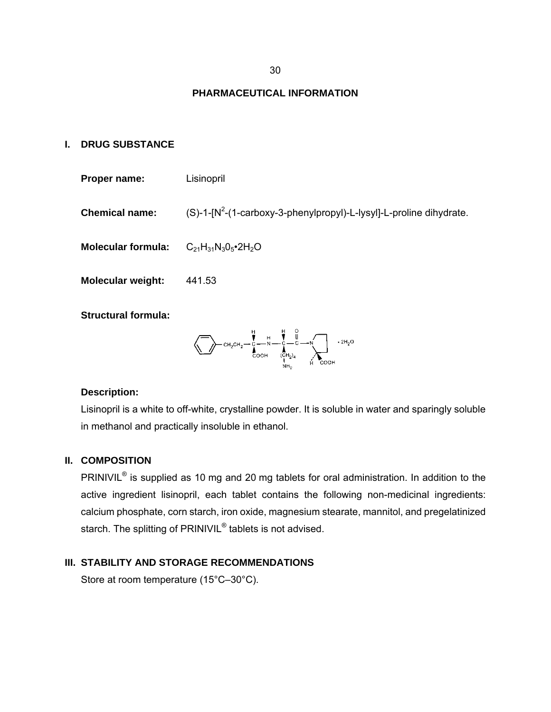### **PHARMACEUTICAL INFORMATION**

### **I. DRUG SUBSTANCE**

| Proper name:               | Lisinopril                                                                      |
|----------------------------|---------------------------------------------------------------------------------|
| <b>Chemical name:</b>      | (S)-1-[N <sup>2</sup> -(1-carboxy-3-phenylpropyl)-L-lysyl]-L-proline dihydrate. |
| <b>Molecular formula:</b>  | $C_{21}H_{31}N_3O_5$ •2H <sub>2</sub> O                                         |
| <b>Molecular weight:</b>   | 441.53                                                                          |
| <b>Structural formula:</b> | $\mathsf{H} \square$<br>$\mathbf{H}$ and $\mathbf{H}$                           |



#### **Description:**

Lisinopril is a white to off-white, crystalline powder. It is soluble in water and sparingly soluble in methanol and practically insoluble in ethanol.

## **II. COMPOSITION**

PRINIVIL® is supplied as 10 mg and 20 mg tablets for oral administration. In addition to the active ingredient lisinopril, each tablet contains the following non-medicinal ingredients: calcium phosphate, corn starch, iron oxide, magnesium stearate, mannitol, and pregelatinized starch. The splitting of PRINIVIL® tablets is not advised.

## **III. STABILITY AND STORAGE RECOMMENDATIONS**

Store at room temperature (15°C–30°C).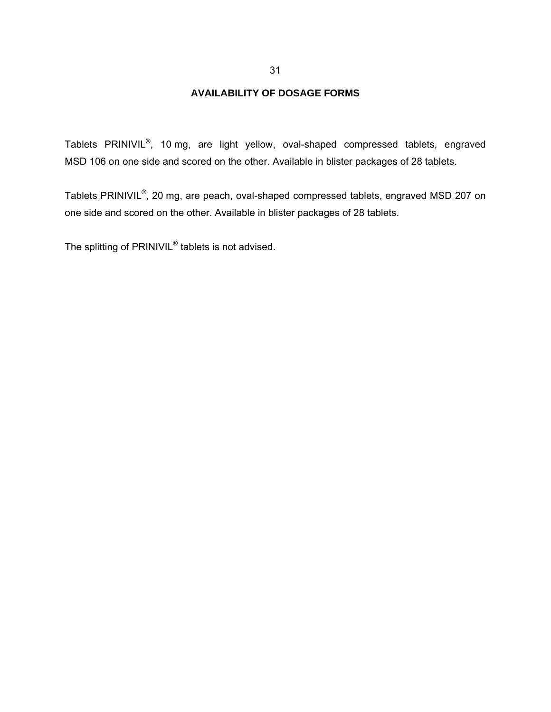## **AVAILABILITY OF DOSAGE FORMS**

Tablets PRINIVIL®, 10 mg, are light yellow, oval-shaped compressed tablets, engraved MSD 106 on one side and scored on the other. Available in blister packages of 28 tablets.

Tablets PRINIVIL®, 20 mg, are peach, oval-shaped compressed tablets, engraved MSD 207 on one side and scored on the other. Available in blister packages of 28 tablets.

The splitting of PRINIVIL® tablets is not advised.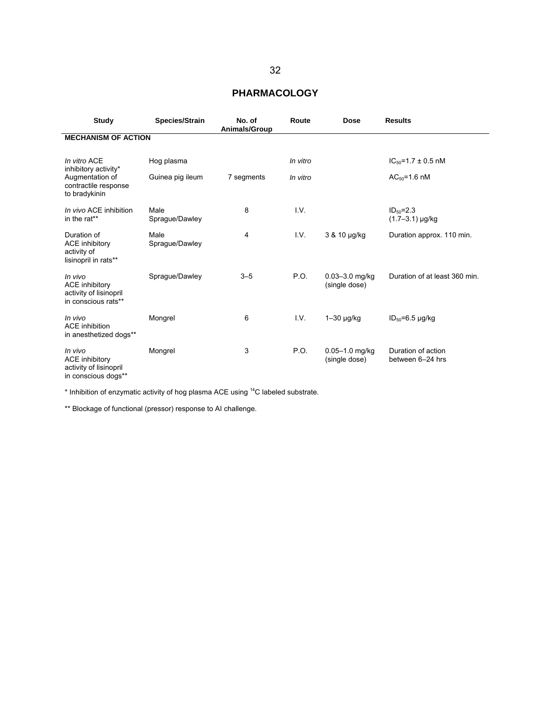## **PHARMACOLOGY**

| <b>Study</b>                                                                      | <b>Species/Strain</b>  | No. of<br>Animals/Group | Route    | <b>Dose</b>                         | <b>Results</b>                         |
|-----------------------------------------------------------------------------------|------------------------|-------------------------|----------|-------------------------------------|----------------------------------------|
| <b>MECHANISM OF ACTION</b>                                                        |                        |                         |          |                                     |                                        |
| In vitro ACE<br>inhibitory activity*                                              | Hog plasma             |                         | In vitro |                                     | $IC_{50} = 1.7 \pm 0.5$ nM             |
| Augmentation of<br>contractile response<br>to bradykinin                          | Guinea pig ileum       | 7 segments              | In vitro |                                     | $AC_{50} = 1.6$ nM                     |
| In vivo ACE inhibition<br>in the rat**                                            | Male<br>Sprague/Dawley | 8                       | I.V.     |                                     | $ID_{50} = 2.3$<br>$(1.7-3.1)$ µg/kg   |
| Duration of<br><b>ACE inhibitory</b><br>activity of<br>lisinopril in rats**       | Male<br>Sprague/Dawley | 4                       | I.V.     | 3 & 10 µg/kg                        | Duration approx. 110 min.              |
| In vivo<br><b>ACE inhibitory</b><br>activity of lisinopril<br>in conscious rats** | Sprague/Dawley         | $3 - 5$                 | P.O.     | $0.03 - 3.0$ mg/kg<br>(single dose) | Duration of at least 360 min.          |
| In vivo<br><b>ACE</b> inhibition<br>in anesthetized dogs**                        | Mongrel                | 6                       | 1.V.     | $1-30$ µg/kg                        | $ID_{50} = 6.5$ µg/kg                  |
| In vivo<br><b>ACE inhibitory</b><br>activity of lisinopril<br>in conscious dogs** | Mongrel                | 3                       | P.O.     | $0.05 - 1.0$ mg/kg<br>(single dose) | Duration of action<br>between 6-24 hrs |

 $*$  Inhibition of enzymatic activity of hog plasma ACE using  $^{14}$ C labeled substrate.

\*\* Blockage of functional (pressor) response to AI challenge.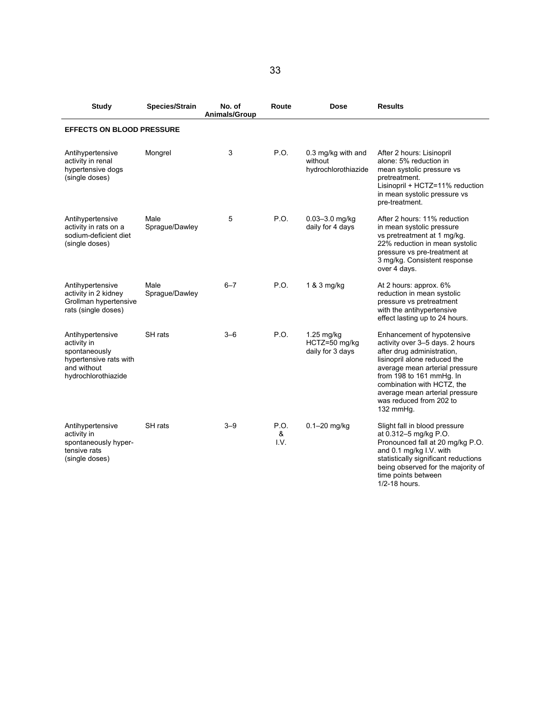| <b>Study</b>                                                                                                     | <b>Species/Strain</b>            | No. of<br>Animals/Group | Route             | <b>Dose</b>                                          | <b>Results</b>                                                                                                                                                                                                                                                                                    |  |  |  |  |
|------------------------------------------------------------------------------------------------------------------|----------------------------------|-------------------------|-------------------|------------------------------------------------------|---------------------------------------------------------------------------------------------------------------------------------------------------------------------------------------------------------------------------------------------------------------------------------------------------|--|--|--|--|
|                                                                                                                  | <b>EFFECTS ON BLOOD PRESSURE</b> |                         |                   |                                                      |                                                                                                                                                                                                                                                                                                   |  |  |  |  |
| Antihypertensive<br>activity in renal<br>hypertensive dogs<br>(single doses)                                     | Mongrel                          | 3                       | P.O.              | 0.3 mg/kg with and<br>without<br>hydrochlorothiazide | After 2 hours: Lisinopril<br>alone: 5% reduction in<br>mean systolic pressure vs<br>pretreatment.<br>Lisinopril + HCTZ=11% reduction<br>in mean systolic pressure vs<br>pre-treatment.                                                                                                            |  |  |  |  |
| Antihypertensive<br>activity in rats on a<br>sodium-deficient diet<br>(single doses)                             | Male<br>Sprague/Dawley           | 5                       | P.O.              | $0.03 - 3.0$ mg/kg<br>daily for 4 days               | After 2 hours: 11% reduction<br>in mean systolic pressure<br>vs pretreatment at 1 mg/kg.<br>22% reduction in mean systolic<br>pressure vs pre-treatment at<br>3 mg/kg. Consistent response<br>over 4 days.                                                                                        |  |  |  |  |
| Antihypertensive<br>activity in 2 kidney<br>Grollman hypertensive<br>rats (single doses)                         | Male<br>Sprague/Dawley           | $6 - 7$                 | P.O.              | 1 & 3 mg/kg                                          | At 2 hours: approx. 6%<br>reduction in mean systolic<br>pressure vs pretreatment<br>with the antihypertensive<br>effect lasting up to 24 hours.                                                                                                                                                   |  |  |  |  |
| Antihypertensive<br>activity in<br>spontaneously<br>hypertensive rats with<br>and without<br>hydrochlorothiazide | SH rats                          | $3 - 6$                 | P.O.              | $1.25$ mg/kg<br>HCTZ=50 mg/kg<br>daily for 3 days    | Enhancement of hypotensive<br>activity over 3-5 days. 2 hours<br>after drug administration,<br>lisinopril alone reduced the<br>average mean arterial pressure<br>from 198 to 161 mmHg. In<br>combination with HCTZ, the<br>average mean arterial pressure<br>was reduced from 202 to<br>132 mmHg. |  |  |  |  |
| Antihypertensive<br>activity in<br>spontaneously hyper-<br>tensive rats<br>(single doses)                        | SH rats                          | $3 - 9$                 | P.O.<br>&<br>I.V. | 0.1-20 mg/kg                                         | Slight fall in blood pressure<br>at 0.312-5 mg/kg P.O.<br>Pronounced fall at 20 mg/kg P.O.<br>and 0.1 mg/kg I.V. with<br>statistically significant reductions                                                                                                                                     |  |  |  |  |

being observed for the majority of time points between 1/2-18 hours.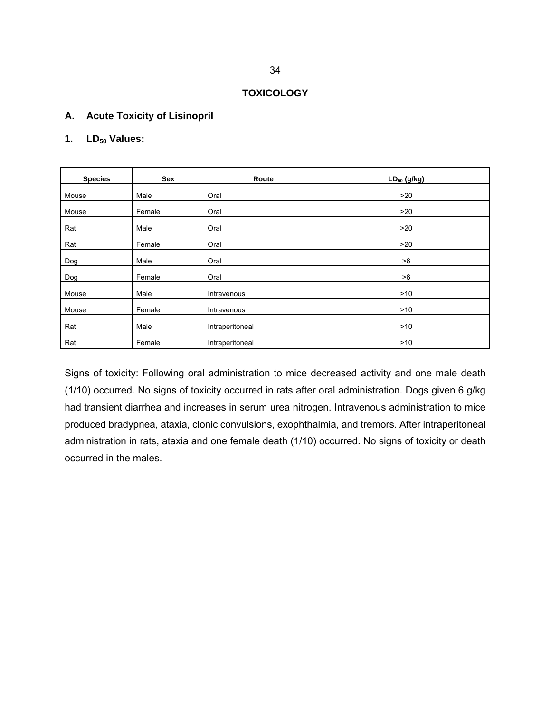#### **TOXICOLOGY**

#### **A. Acute Toxicity of Lisinopril**

### 1. **LD<sub>50</sub> Values:**

| <b>Species</b> | <b>Sex</b> | Route           | $LD_{50}$ (g/kg) |
|----------------|------------|-----------------|------------------|
| Mouse          | Male       | Oral            | >20              |
| Mouse          | Female     | Oral            | >20              |
| Rat            | Male       | Oral            | >20              |
| Rat            | Female     | Oral            | >20              |
| Dog            | Male       | Oral            | >6               |
| Dog            | Female     | Oral            | >6               |
| Mouse          | Male       | Intravenous     | $>10$            |
| Mouse          | Female     | Intravenous     | >10              |
| Rat            | Male       | Intraperitoneal | $>10$            |
| Rat            | Female     | Intraperitoneal | $>10$            |

Signs of toxicity: Following oral administration to mice decreased activity and one male death (1/10) occurred. No signs of toxicity occurred in rats after oral administration. Dogs given 6 g/kg had transient diarrhea and increases in serum urea nitrogen. Intravenous administration to mice produced bradypnea, ataxia, clonic convulsions, exophthalmia, and tremors. After intraperitoneal administration in rats, ataxia and one female death (1/10) occurred. No signs of toxicity or death occurred in the males.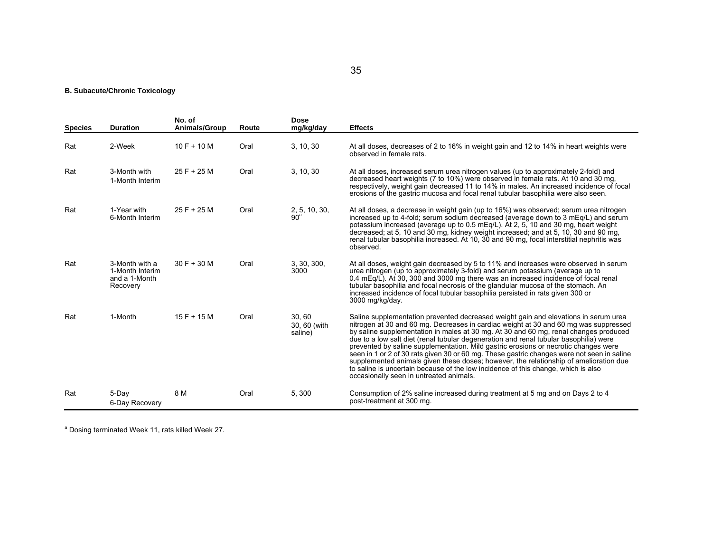#### **B. Subacute/Chronic Toxicology**

| <b>Species</b> | <b>Duration</b>                                                | No. of<br>Animals/Group | Route | <b>Dose</b><br>mg/kg/day         | <b>Effects</b>                                                                                                                                                                                                                                                                                                                                                                                                                                                                                                                                                                                                                                                                                                                                                             |
|----------------|----------------------------------------------------------------|-------------------------|-------|----------------------------------|----------------------------------------------------------------------------------------------------------------------------------------------------------------------------------------------------------------------------------------------------------------------------------------------------------------------------------------------------------------------------------------------------------------------------------------------------------------------------------------------------------------------------------------------------------------------------------------------------------------------------------------------------------------------------------------------------------------------------------------------------------------------------|
| Rat            | 2-Week                                                         | $10 F + 10 M$           | Oral  | 3, 10, 30                        | At all doses, decreases of 2 to 16% in weight gain and 12 to 14% in heart weights were<br>observed in female rats.                                                                                                                                                                                                                                                                                                                                                                                                                                                                                                                                                                                                                                                         |
| Rat            | 3-Month with<br>1-Month Interim                                | $25 F + 25 M$           | Oral  | 3, 10, 30                        | At all doses, increased serum urea nitrogen values (up to approximately 2-fold) and<br>decreased heart weights (7 to 10%) were observed in female rats. At 10 and 30 mg,<br>respectively, weight gain decreased 11 to 14% in males. An increased incidence of focal<br>erosions of the gastric mucosa and focal renal tubular basophilia were also seen.                                                                                                                                                                                                                                                                                                                                                                                                                   |
| Rat            | 1-Year with<br>6-Month Interim                                 | $25 F + 25 M$           | Oral  | $2, 5, 10, 30, 90^{\circ}$       | At all doses, a decrease in weight gain (up to 16%) was observed; serum urea nitrogen<br>increased up to 4-fold; serum sodium decreased (average down to 3 mEq/L) and serum<br>potassium increased (average up to 0.5 mEq/L). At 2, 5, 10 and 30 mg, heart weight<br>decreased; at 5, 10 and 30 mg, kidney weight increased; and at 5, 10, 30 and 90 mg,<br>renal tubular basophilia increased. At 10, 30 and 90 mg, focal interstitial nephritis was<br>observed.                                                                                                                                                                                                                                                                                                         |
| Rat            | 3-Month with a<br>1-Month Interim<br>and a 1-Month<br>Recovery | $30 F + 30 M$           | Oral  | 3, 30, 300,<br>3000              | At all doses, weight gain decreased by 5 to 11% and increases were observed in serum<br>urea nitrogen (up to approximately 3-fold) and serum potassium (average up to<br>0.4 mEq/L). At 30, 300 and 3000 mg there was an increased incidence of focal renal<br>tubular basophilia and focal necrosis of the glandular mucosa of the stomach. An<br>increased incidence of focal tubular basophilia persisted in rats given 300 or<br>3000 mg/kg/day.                                                                                                                                                                                                                                                                                                                       |
| Rat            | 1-Month                                                        | $15F + 15M$             | Oral  | 30,60<br>30, 60 (with<br>saline) | Saline supplementation prevented decreased weight gain and elevations in serum urea<br>nitrogen at 30 and 60 mg. Decreases in cardiac weight at 30 and 60 mg was suppressed<br>by saline supplementation in males at 30 mg. At 30 and 60 mg, renal changes produced<br>due to a low salt diet (renal tubular degeneration and renal tubular basophilia) were<br>prevented by saline supplementation. Mild gastric erosions or necrotic changes were<br>seen in 1 or 2 of 30 rats given 30 or 60 mg. These gastric changes were not seen in saline<br>supplemented animals given these doses; however, the relationship of amelioration due<br>to saline is uncertain because of the low incidence of this change, which is also<br>occasionally seen in untreated animals. |
| Rat            | 5-Day<br>6-Day Recovery                                        | 8 M                     | Oral  | 5,300                            | Consumption of 2% saline increased during treatment at 5 mg and on Days 2 to 4<br>post-treatment at 300 mg.                                                                                                                                                                                                                                                                                                                                                                                                                                                                                                                                                                                                                                                                |

a Dosing terminated Week 11, rats killed Week 27.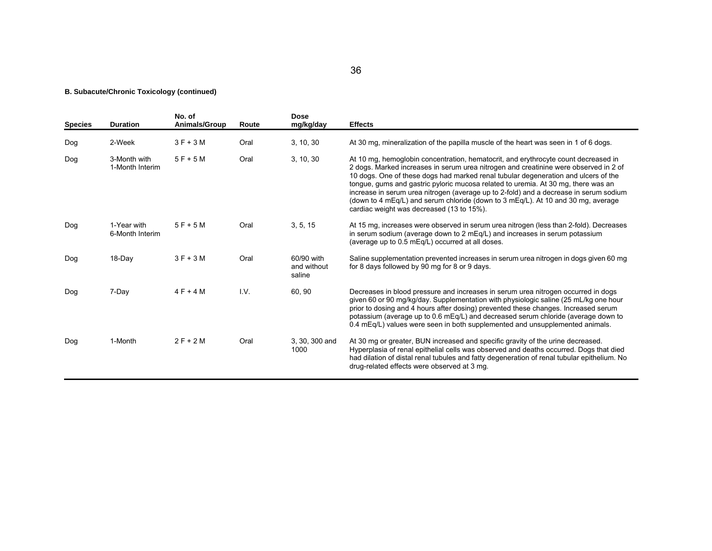#### **B. Subacute/Chronic Toxicology (continued)**

| <b>Species</b> | <b>Duration</b>                 | No. of<br>Animals/Group | Route | <b>Dose</b><br>mg/kg/day            | <b>Effects</b>                                                                                                                                                                                                                                                                                                                                                                                                                                                                                                                                                                  |
|----------------|---------------------------------|-------------------------|-------|-------------------------------------|---------------------------------------------------------------------------------------------------------------------------------------------------------------------------------------------------------------------------------------------------------------------------------------------------------------------------------------------------------------------------------------------------------------------------------------------------------------------------------------------------------------------------------------------------------------------------------|
| Dog            | 2-Week                          | $3F + 3M$               | Oral  | 3, 10, 30                           | At 30 mg, mineralization of the papilla muscle of the heart was seen in 1 of 6 dogs.                                                                                                                                                                                                                                                                                                                                                                                                                                                                                            |
| Dog            | 3-Month with<br>1-Month Interim | $5F + 5M$               | Oral  | 3, 10, 30                           | At 10 mg, hemoglobin concentration, hematocrit, and erythrocyte count decreased in<br>2 dogs. Marked increases in serum urea nitrogen and creatinine were observed in 2 of<br>10 dogs. One of these dogs had marked renal tubular degeneration and ulcers of the<br>tongue, gums and gastric pyloric mucosa related to uremia. At 30 mg, there was an<br>increase in serum urea nitrogen (average up to 2-fold) and a decrease in serum sodium<br>(down to 4 mEq/L) and serum chloride (down to 3 mEq/L). At 10 and 30 mg, average<br>cardiac weight was decreased (13 to 15%). |
| Dog            | 1-Year with<br>6-Month Interim  | $5F + 5M$               | Oral  | 3, 5, 15                            | At 15 mg, increases were observed in serum urea nitrogen (less than 2-fold). Decreases<br>in serum sodium (average down to 2 mEg/L) and increases in serum potassium<br>(average up to 0.5 mEg/L) occurred at all doses.                                                                                                                                                                                                                                                                                                                                                        |
| Dog            | 18-Day                          | $3F + 3M$               | Oral  | 60/90 with<br>and without<br>saline | Saline supplementation prevented increases in serum urea nitrogen in dogs given 60 mg<br>for 8 days followed by 90 mg for 8 or 9 days.                                                                                                                                                                                                                                                                                                                                                                                                                                          |
| Dog            | 7-Day                           | $4F + 4M$               | I.V.  | 60, 90                              | Decreases in blood pressure and increases in serum urea nitrogen occurred in dogs<br>given 60 or 90 mg/kg/day. Supplementation with physiologic saline (25 mL/kg one hour<br>prior to dosing and 4 hours after dosing) prevented these changes. Increased serum<br>potassium (average up to 0.6 mEq/L) and decreased serum chloride (average down to<br>0.4 mEq/L) values were seen in both supplemented and unsupplemented animals.                                                                                                                                            |
| Dog            | 1-Month                         | $2F + 2M$               | Oral  | 3, 30, 300 and<br>1000              | At 30 mg or greater, BUN increased and specific gravity of the urine decreased.<br>Hyperplasia of renal epithelial cells was observed and deaths occurred. Dogs that died<br>had dilation of distal renal tubules and fatty degeneration of renal tubular epithelium. No<br>drug-related effects were observed at 3 mg.                                                                                                                                                                                                                                                         |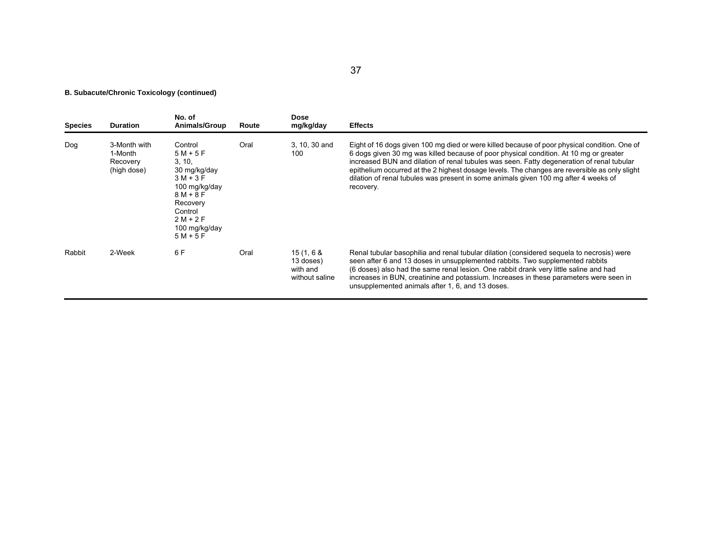#### **B. Subacute/Chronic Toxicology (continued)**

| <b>Species</b> | <b>Duration</b>                                    | No. of<br>Animals/Group                                                                                                                                 | Route | <b>Dose</b><br>mg/kg/day                                | <b>Effects</b>                                                                                                                                                                                                                                                                                                                                                                                                                                                                          |
|----------------|----------------------------------------------------|---------------------------------------------------------------------------------------------------------------------------------------------------------|-------|---------------------------------------------------------|-----------------------------------------------------------------------------------------------------------------------------------------------------------------------------------------------------------------------------------------------------------------------------------------------------------------------------------------------------------------------------------------------------------------------------------------------------------------------------------------|
| Dog            | 3-Month with<br>1-Month<br>Recovery<br>(high dose) | Control<br>$5M+5F$<br>3, 10,<br>30 mg/kg/day<br>$3M + 3F$<br>100 mg/kg/day<br>$8M + 8F$<br>Recovery<br>Control<br>$2M+2F$<br>100 mg/kg/day<br>$5M + 5F$ | Oral  | 3, 10, 30 and<br>100                                    | Eight of 16 dogs given 100 mg died or were killed because of poor physical condition. One of<br>6 dogs given 30 mg was killed because of poor physical condition. At 10 mg or greater<br>increased BUN and dilation of renal tubules was seen. Fatty degeneration of renal tubular<br>epithelium occurred at the 2 highest dosage levels. The changes are reversible as only slight<br>dilation of renal tubules was present in some animals given 100 mg after 4 weeks of<br>recovery. |
| Rabbit         | 2-Week                                             | 6 F                                                                                                                                                     | Oral  | $15(1, 6 \&$<br>13 doses)<br>with and<br>without saline | Renal tubular basophilia and renal tubular dilation (considered sequela to necrosis) were<br>seen after 6 and 13 doses in unsupplemented rabbits. Two supplemented rabbits<br>(6 doses) also had the same renal lesion. One rabbit drank very little saline and had<br>increases in BUN, creatinine and potassium. Increases in these parameters were seen in<br>unsupplemented animals after 1, 6, and 13 doses.                                                                       |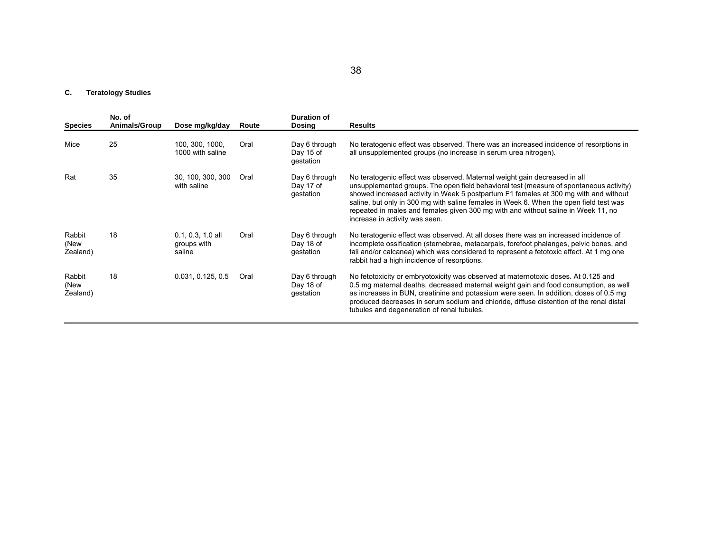#### **C. Teratology Studies**

| <b>Species</b>             | No. of<br>Animals/Group | Dose mg/kg/day                               | Route | <b>Duration of</b><br>Dosing            | <b>Results</b>                                                                                                                                                                                                                                                                                                                                                                                                                                                                |
|----------------------------|-------------------------|----------------------------------------------|-------|-----------------------------------------|-------------------------------------------------------------------------------------------------------------------------------------------------------------------------------------------------------------------------------------------------------------------------------------------------------------------------------------------------------------------------------------------------------------------------------------------------------------------------------|
| Mice                       | 25                      | 100, 300, 1000,<br>1000 with saline          | Oral  | Day 6 through<br>Day 15 of<br>gestation | No teratogenic effect was observed. There was an increased incidence of resorptions in<br>all unsupplemented groups (no increase in serum urea nitrogen).                                                                                                                                                                                                                                                                                                                     |
| Rat                        | 35                      | 30, 100, 300, 300<br>with saline             | Oral  | Day 6 through<br>Day 17 of<br>gestation | No teratogenic effect was observed. Maternal weight gain decreased in all<br>unsupplemented groups. The open field behavioral test (measure of spontaneous activity)<br>showed increased activity in Week 5 postpartum F1 females at 300 mg with and without<br>saline, but only in 300 mg with saline females in Week 6. When the open field test was<br>repeated in males and females given 300 mg with and without saline in Week 11, no<br>increase in activity was seen. |
| Rabbit<br>(New<br>Zealand) | 18                      | $0.1, 0.3, 1.0$ all<br>groups with<br>saline | Oral  | Day 6 through<br>Day 18 of<br>gestation | No teratogenic effect was observed. At all doses there was an increased incidence of<br>incomplete ossification (sternebrae, metacarpals, forefoot phalanges, pelvic bones, and<br>tali and/or calcanea) which was considered to represent a fetotoxic effect. At 1 mg one<br>rabbit had a high incidence of resorptions.                                                                                                                                                     |
| Rabbit<br>(New<br>Zealand) | 18                      | 0.031, 0.125, 0.5                            | Oral  | Day 6 through<br>Day 18 of<br>gestation | No fetotoxicity or embryotoxicity was observed at maternotoxic doses. At 0.125 and<br>0.5 mg maternal deaths, decreased maternal weight gain and food consumption, as well<br>as increases in BUN, creatinine and potassium were seen. In addition, doses of 0.5 mg<br>produced decreases in serum sodium and chloride, diffuse distention of the renal distal<br>tubules and degeneration of renal tubules.                                                                  |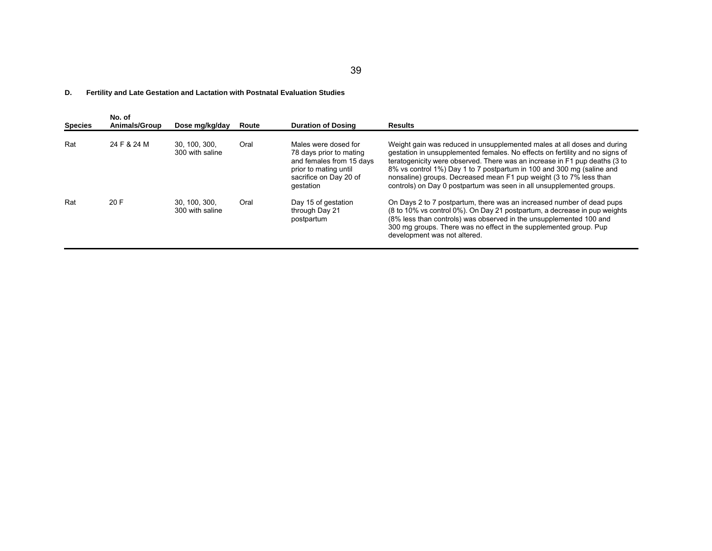#### **D. Fertility and Late Gestation and Lactation with Postnatal Evaluation Studies**

| <b>Species</b> | No. of<br><b>Animals/Group</b> | Dose mg/kg/day                   | Route | <b>Duration of Dosing</b>                                                                                                                   | <b>Results</b>                                                                                                                                                                                                                                                                                                                                                                                                                                               |
|----------------|--------------------------------|----------------------------------|-------|---------------------------------------------------------------------------------------------------------------------------------------------|--------------------------------------------------------------------------------------------------------------------------------------------------------------------------------------------------------------------------------------------------------------------------------------------------------------------------------------------------------------------------------------------------------------------------------------------------------------|
| Rat            | 24 F & 24 M                    | 30, 100, 300,<br>300 with saline | Oral  | Males were dosed for<br>78 days prior to mating<br>and females from 15 days<br>prior to mating until<br>sacrifice on Day 20 of<br>qestation | Weight gain was reduced in unsupplemented males at all doses and during<br>gestation in unsupplemented females. No effects on fertility and no signs of<br>teratogenicity were observed. There was an increase in F1 pup deaths (3 to<br>8% vs control 1%) Day 1 to 7 postpartum in 100 and 300 mg (saline and<br>nonsaline) groups. Decreased mean F1 pup weight (3 to 7% less than<br>controls) on Day 0 postpartum was seen in all unsupplemented groups. |
| Rat            | 20 F                           | 30, 100, 300,<br>300 with saline | Oral  | Day 15 of gestation<br>through Day 21<br>postpartum                                                                                         | On Days 2 to 7 postpartum, there was an increased number of dead pups<br>(8 to 10% vs control 0%). On Day 21 postpartum, a decrease in pup weights<br>(8% less than controls) was observed in the unsupplemented 100 and<br>300 mg groups. There was no effect in the supplemented group. Pup<br>development was not altered.                                                                                                                                |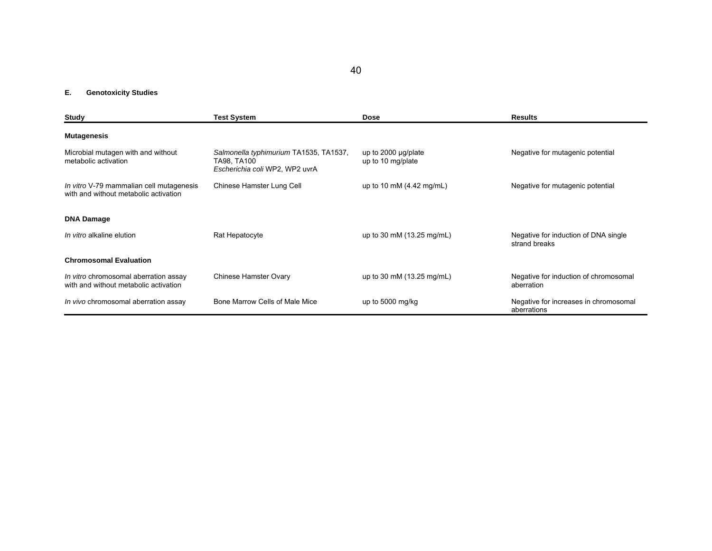#### **E. Genotoxicity Studies**

| <b>Study</b>                                                                      | <b>Test System</b>                                                                      | <b>Dose</b>                                    | <b>Results</b>                                        |
|-----------------------------------------------------------------------------------|-----------------------------------------------------------------------------------------|------------------------------------------------|-------------------------------------------------------|
| Mutagenesis                                                                       |                                                                                         |                                                |                                                       |
| Microbial mutagen with and without<br>metabolic activation                        | Salmonella typhimurium TA1535, TA1537,<br>TA98. TA100<br>Escherichia coli WP2, WP2 uvrA | up to $2000 \mu g$ /plate<br>up to 10 mg/plate | Negative for mutagenic potential                      |
| In vitro V-79 mammalian cell mutagenesis<br>with and without metabolic activation | Chinese Hamster Lung Cell                                                               | up to 10 mM $(4.42 \text{ mg/mL})$             | Negative for mutagenic potential                      |
| <b>DNA Damage</b>                                                                 |                                                                                         |                                                |                                                       |
| In vitro alkaline elution                                                         | Rat Hepatocyte                                                                          | up to 30 mM (13.25 mg/mL)                      | Negative for induction of DNA single<br>strand breaks |
| <b>Chromosomal Evaluation</b>                                                     |                                                                                         |                                                |                                                       |
| In vitro chromosomal aberration assay<br>with and without metabolic activation    | Chinese Hamster Ovary                                                                   | up to 30 mM (13.25 mg/mL)                      | Negative for induction of chromosomal<br>aberration   |
| In vivo chromosomal aberration assay                                              | Bone Marrow Cells of Male Mice                                                          | up to 5000 mg/kg                               | Negative for increases in chromosomal<br>aberrations  |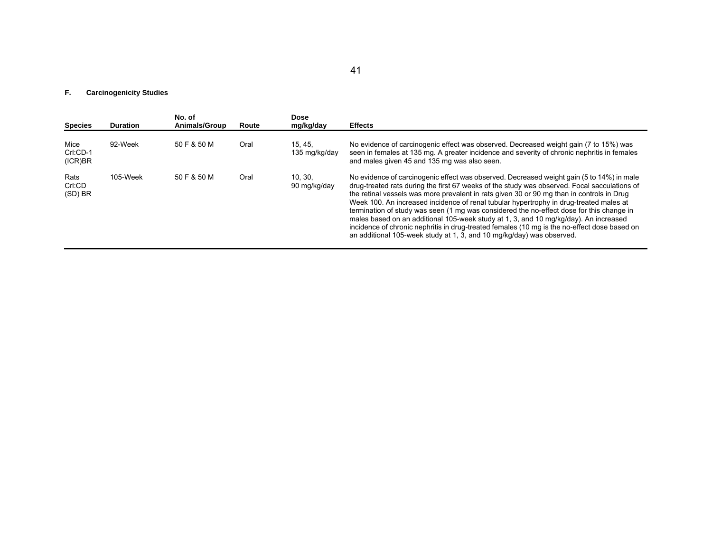#### **F. Carcinogenicity Studies**

| <b>Species</b>              | <b>Duration</b> | No. of<br>Animals/Group | Route | Dose<br>mg/kg/day       | <b>Effects</b>                                                                                                                                                                                                                                                                                                                                                                                                                                                                                                                                                                                                                                                                                                                                |
|-----------------------------|-----------------|-------------------------|-------|-------------------------|-----------------------------------------------------------------------------------------------------------------------------------------------------------------------------------------------------------------------------------------------------------------------------------------------------------------------------------------------------------------------------------------------------------------------------------------------------------------------------------------------------------------------------------------------------------------------------------------------------------------------------------------------------------------------------------------------------------------------------------------------|
| Mice<br>Crl:CD-1<br>(ICR)BR | 92-Week         | 50 F & 50 M             | Oral  | 15.45.<br>135 mg/kg/day | No evidence of carcinogenic effect was observed. Decreased weight gain (7 to 15%) was<br>seen in females at 135 mg. A greater incidence and severity of chronic nephritis in females<br>and males given 45 and 135 mg was also seen.                                                                                                                                                                                                                                                                                                                                                                                                                                                                                                          |
| Rats<br>Crl:CD<br>(SD) BR   | 105-Week        | 50 F & 50 M             | Oral  | 10.30.<br>90 mg/kg/day  | No evidence of carcinogenic effect was observed. Decreased weight gain (5 to 14%) in male<br>drug-treated rats during the first 67 weeks of the study was observed. Focal sacculations of<br>the retinal vessels was more prevalent in rats given 30 or 90 mg than in controls in Drug<br>Week 100. An increased incidence of renal tubular hypertrophy in drug-treated males at<br>termination of study was seen (1 mg was considered the no-effect dose for this change in<br>males based on an additional 105-week study at 1, 3, and 10 mg/kg/day). An increased<br>incidence of chronic nephritis in drug-treated females (10 mg is the no-effect dose based on<br>an additional 105-week study at 1, 3, and 10 mg/kg/day) was observed. |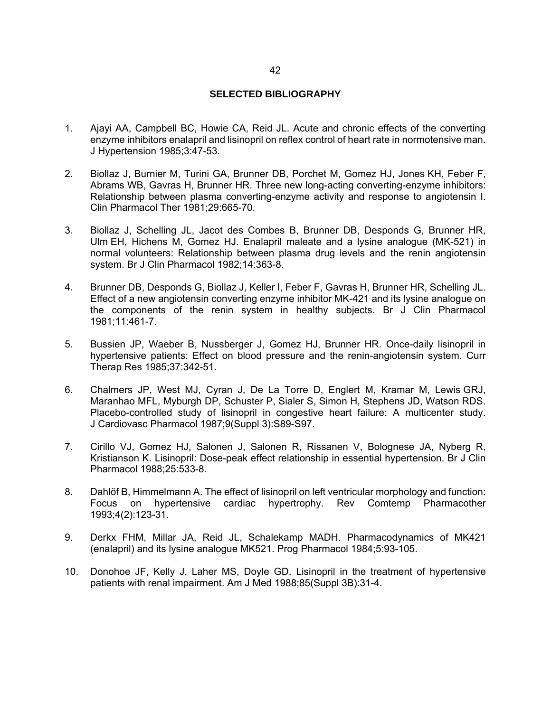### **SELECTED BIBLIOGRAPHY**

- 1. Ajayi AA, Campbell BC, Howie CA, Reid JL. Acute and chronic effects of the converting enzyme inhibitors enalapril and lisinopril on reflex control of heart rate in normotensive man. J Hypertension 1985;3:47-53.
- 2. Biollaz J, Burnier M, Turini GA, Brunner DB, Porchet M, Gomez HJ, Jones KH, Feber F, Abrams WB, Gavras H, Brunner HR. Three new long-acting converting-enzyme inhibitors: Relationship between plasma converting-enzyme activity and response to angiotensin I. Clin Pharmacol Ther 1981;29:665-70.
- 3. Biollaz J, Schelling JL, Jacot des Combes B, Brunner DB, Desponds G, Brunner HR, Ulm EH, Hichens M, Gomez HJ. Enalapril maleate and a lysine analogue (MK-521) in normal volunteers: Relationship between plasma drug levels and the renin angiotensin system. Br J Clin Pharmacol 1982;14:363-8.
- 4. Brunner DB, Desponds G, Biollaz J, Keller I, Feber F, Gavras H, Brunner HR, Schelling JL. Effect of a new angiotensin converting enzyme inhibitor MK-421 and its lysine analogue on the components of the renin system in healthy subjects. Br J Clin Pharmacol 1981;11:461-7.
- 5. Bussien JP, Waeber B, Nussberger J, Gomez HJ, Brunner HR. Once-daily lisinopril in hypertensive patients: Effect on blood pressure and the renin-angiotensin system. Curr Therap Res 1985;37:342-51.
- 6. Chalmers JP, West MJ, Cyran J, De La Torre D, Englert M, Kramar M, Lewis GRJ, Maranhao MFL, Myburgh DP, Schuster P, Sialer S, Simon H, Stephens JD, Watson RDS. Placebo-controlled study of lisinopril in congestive heart failure: A multicenter study. J Cardiovasc Pharmacol 1987;9(Suppl 3):S89-S97.
- 7. Cirillo VJ, Gomez HJ, Salonen J, Salonen R, Rissanen V, Bolognese JA, Nyberg R, Kristianson K. Lisinopril: Dose-peak effect relationship in essential hypertension. Br J Clin Pharmacol 1988;25:533-8.
- 8. Dahlöf B, Himmelmann A. The effect of lisinopril on left ventricular morphology and function: Focus on hypertensive cardiac hypertrophy. Rev Comtemp Pharmacother 1993;4(2):123-31.
- 9. Derkx FHM, Millar JA, Reid JL, Schalekamp MADH. Pharmacodynamics of MK421 (enalapril) and its lysine analogue MK521. Prog Pharmacol 1984;5:93-105.
- 10. Donohoe JF, Kelly J, Laher MS, Doyle GD. Lisinopril in the treatment of hypertensive patients with renal impairment. Am J Med 1988;85(Suppl 3B):31-4.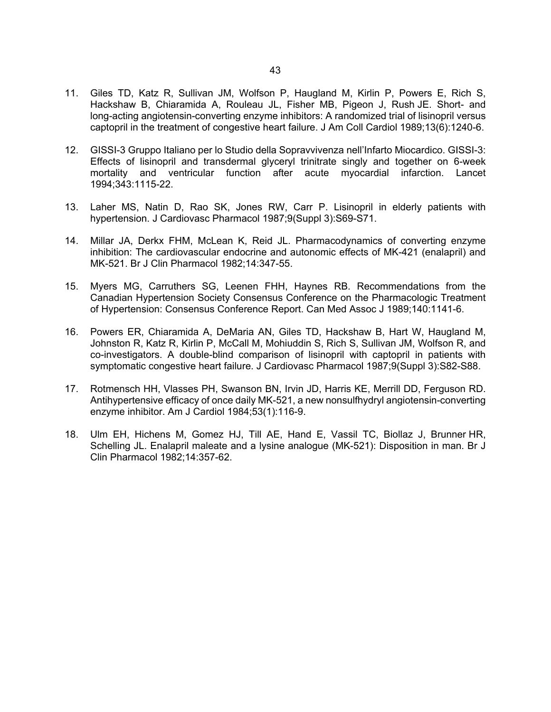- 11. Giles TD, Katz R, Sullivan JM, Wolfson P, Haugland M, Kirlin P, Powers E, Rich S, Hackshaw B, Chiaramida A, Rouleau JL, Fisher MB, Pigeon J, Rush JE. Short- and long-acting angiotensin-converting enzyme inhibitors: A randomized trial of lisinopril versus captopril in the treatment of congestive heart failure. J Am Coll Cardiol 1989;13(6):1240-6.
- 12. GISSI-3 Gruppo Italiano per lo Studio della Sopravvivenza nell'Infarto Miocardico. GISSI-3: Effects of lisinopril and transdermal glyceryl trinitrate singly and together on 6-week mortality and ventricular function after acute myocardial infarction. Lancet 1994;343:1115-22.
- 13. Laher MS, Natin D, Rao SK, Jones RW, Carr P. Lisinopril in elderly patients with hypertension. J Cardiovasc Pharmacol 1987;9(Suppl 3):S69-S71.
- 14. Millar JA, Derkx FHM, McLean K, Reid JL. Pharmacodynamics of converting enzyme inhibition: The cardiovascular endocrine and autonomic effects of MK-421 (enalapril) and MK-521. Br J Clin Pharmacol 1982;14:347-55.
- 15. Myers MG, Carruthers SG, Leenen FHH, Haynes RB. Recommendations from the Canadian Hypertension Society Consensus Conference on the Pharmacologic Treatment of Hypertension: Consensus Conference Report. Can Med Assoc J 1989;140:1141-6.
- 16. Powers ER, Chiaramida A, DeMaria AN, Giles TD, Hackshaw B, Hart W, Haugland M, Johnston R, Katz R, Kirlin P, McCall M, Mohiuddin S, Rich S, Sullivan JM, Wolfson R, and co-investigators. A double-blind comparison of lisinopril with captopril in patients with symptomatic congestive heart failure. J Cardiovasc Pharmacol 1987;9(Suppl 3):S82-S88.
- 17. Rotmensch HH, Vlasses PH, Swanson BN, Irvin JD, Harris KE, Merrill DD, Ferguson RD. Antihypertensive efficacy of once daily MK-521, a new nonsulfhydryl angiotensin-converting enzyme inhibitor. Am J Cardiol 1984;53(1):116-9.
- 18. Ulm EH, Hichens M, Gomez HJ, Till AE, Hand E, Vassil TC, Biollaz J, Brunner HR, Schelling JL. Enalapril maleate and a lysine analogue (MK-521): Disposition in man. Br J Clin Pharmacol 1982;14:357-62.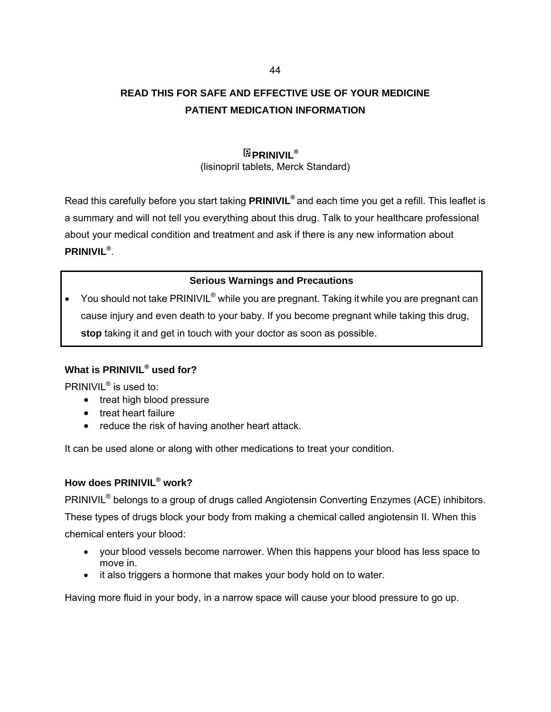# **READ THIS FOR SAFE AND EFFECTIVE USE OF YOUR MEDICINE PATIENT MEDICATION INFORMATION**

## **PRINIVIL®**

(lisinopril tablets, Merck Standard)

Read this carefully before you start taking **PRINIVIL®** and each time you get a refill. This leaflet is a summary and will not tell you everything about this drug. Talk to your healthcare professional about your medical condition and treatment and ask if there is any new information about **PRINIVIL®**.

## **Serious Warnings and Precautions**

You should not take PRINIVIL<sup>®</sup> while you are pregnant. Taking it while you are pregnant can cause injury and even death to your baby. If you become pregnant while taking this drug, **stop** taking it and get in touch with your doctor as soon as possible.

## **What is PRINIVIL® used for?**

PRINIVIL® is used to:

- treat high blood pressure
- treat heart failure
- reduce the risk of having another heart attack.

It can be used alone or along with other medications to treat your condition.

## **How does PRINIVIL® work?**

PRINIVIL® belongs to a group of drugs called Angiotensin Converting Enzymes (ACE) inhibitors.

These types of drugs block your body from making a chemical called angiotensin II. When this chemical enters your blood:

- your blood vessels become narrower. When this happens your blood has less space to move in.
- it also triggers a hormone that makes your body hold on to water.

Having more fluid in your body, in a narrow space will cause your blood pressure to go up.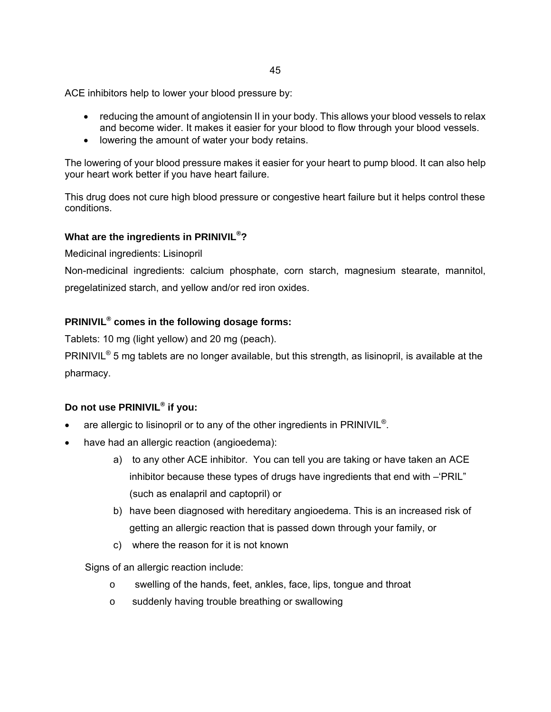45

ACE inhibitors help to lower your blood pressure by:

- reducing the amount of angiotensin II in your body. This allows your blood vessels to relax and become wider. It makes it easier for your blood to flow through your blood vessels.
- lowering the amount of water your body retains.

The lowering of your blood pressure makes it easier for your heart to pump blood. It can also help your heart work better if you have heart failure.

This drug does not cure high blood pressure or congestive heart failure but it helps control these conditions.

## **What are the ingredients in PRINIVIL®?**

Medicinal ingredients: Lisinopril

Non-medicinal ingredients: calcium phosphate, corn starch, magnesium stearate, mannitol, pregelatinized starch, and yellow and/or red iron oxides.

## **PRINIVIL® comes in the following dosage forms:**

Tablets: 10 mg (light yellow) and 20 mg (peach).

PRINIVIL® 5 mg tablets are no longer available, but this strength, as lisinopril, is available at the pharmacy.

## **Do not use PRINIVIL® if you:**

- are allergic to lisinopril or to any of the other ingredients in PRINIVIL<sup>®</sup>.
- have had an allergic reaction (angioedema):
	- a) to any other ACE inhibitor. You can tell you are taking or have taken an ACE inhibitor because these types of drugs have ingredients that end with –'PRIL" (such as enalapril and captopril) or
	- b) have been diagnosed with hereditary angioedema. This is an increased risk of getting an allergic reaction that is passed down through your family, or
	- c) where the reason for it is not known

Signs of an allergic reaction include:

- o swelling of the hands, feet, ankles, face, lips, tongue and throat
- o suddenly having trouble breathing or swallowing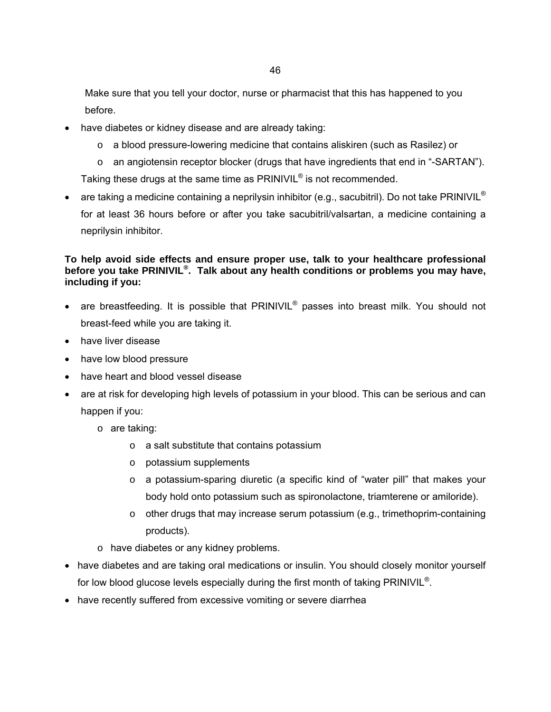Make sure that you tell your doctor, nurse or pharmacist that this has happened to you before.

- have diabetes or kidney disease and are already taking:
	- $\circ$  a blood pressure-lowering medicine that contains aliskiren (such as Rasilez) or
	- o an angiotensin receptor blocker (drugs that have ingredients that end in "-SARTAN"). Taking these drugs at the same time as PRINIVIL<sup>®</sup> is not recommended.
- are taking a medicine containing a neprilysin inhibitor (e.g., sacubitril). Do not take PRINIVIL<sup>®</sup> for at least 36 hours before or after you take sacubitril/valsartan, a medicine containing a neprilysin inhibitor.

## **To help avoid side effects and ensure proper use, talk to your healthcare professional**  before you take PRINIVIL<sup>®</sup>. Talk about any health conditions or problems you may have, **including if you:**

- are breastfeeding. It is possible that PRINIVIL<sup>®</sup> passes into breast milk. You should not breast-feed while you are taking it.
- have liver disease
- have low blood pressure
- have heart and blood vessel disease
- are at risk for developing high levels of potassium in your blood. This can be serious and can happen if you:
	- o are taking:
		- o a salt substitute that contains potassium
		- o potassium supplements
		- o a potassium-sparing diuretic (a specific kind of "water pill" that makes your body hold onto potassium such as spironolactone, triamterene or amiloride).
		- o other drugs that may increase serum potassium (e.g., trimethoprim-containing products).
	- o have diabetes or any kidney problems.
- have diabetes and are taking oral medications or insulin. You should closely monitor yourself for low blood glucose levels especially during the first month of taking PRINIVIL®.
- have recently suffered from excessive vomiting or severe diarrhea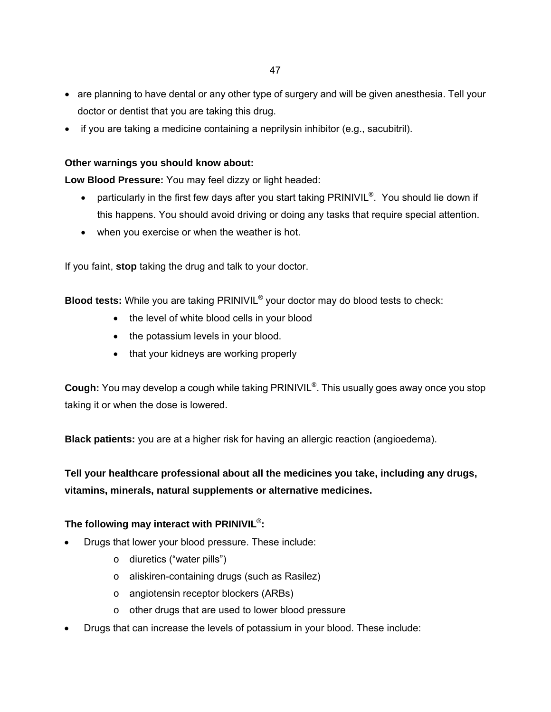- are planning to have dental or any other type of surgery and will be given anesthesia. Tell your doctor or dentist that you are taking this drug.
- if you are taking a medicine containing a neprilysin inhibitor (e.g., sacubitril).

### **Other warnings you should know about:**

**Low Blood Pressure:** You may feel dizzy or light headed:

- particularly in the first few days after you start taking PRINIVIL<sup>®</sup>. You should lie down if this happens. You should avoid driving or doing any tasks that require special attention.
- when you exercise or when the weather is hot.

If you faint, **stop** taking the drug and talk to your doctor.

**Blood tests:** While you are taking PRINIVIL® your doctor may do blood tests to check:

- the level of white blood cells in your blood
- the potassium levels in your blood.
- that your kidneys are working properly

**Cough:** You may develop a cough while taking PRINIVIL®. This usually goes away once you stop taking it or when the dose is lowered.

**Black patients:** you are at a higher risk for having an allergic reaction (angioedema).

**Tell your healthcare professional about all the medicines you take, including any drugs, vitamins, minerals, natural supplements or alternative medicines.** 

## **The following may interact with PRINIVIL**®**:**

- Drugs that lower your blood pressure. These include:
	- o diuretics ("water pills")
	- o aliskiren-containing drugs (such as Rasilez)
	- o angiotensin receptor blockers (ARBs)
	- o other drugs that are used to lower blood pressure
- Drugs that can increase the levels of potassium in your blood. These include: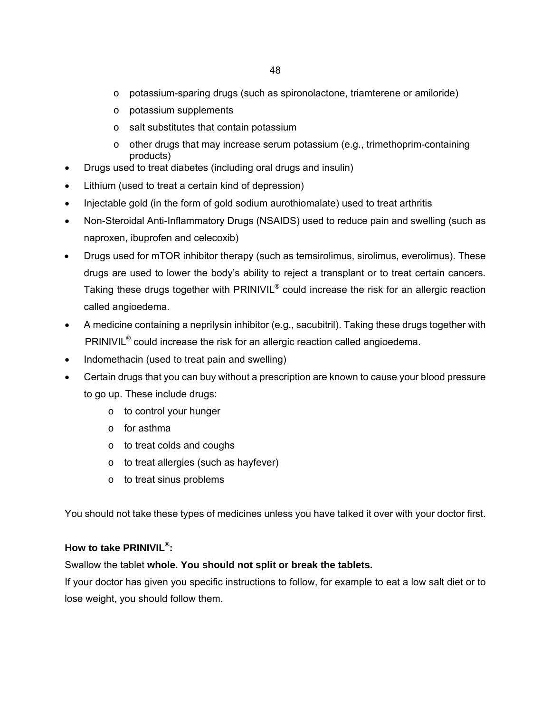- o potassium-sparing drugs (such as spironolactone, triamterene or amiloride)
- o potassium supplements
- o salt substitutes that contain potassium
- $\circ$  other drugs that may increase serum potassium (e.g., trimethoprim-containing products)
- Drugs used to treat diabetes (including oral drugs and insulin)
- Lithium (used to treat a certain kind of depression)
- Injectable gold (in the form of gold sodium aurothiomalate) used to treat arthritis
- Non-Steroidal Anti-Inflammatory Drugs (NSAIDS) used to reduce pain and swelling (such as naproxen, ibuprofen and celecoxib)
- Drugs used for mTOR inhibitor therapy (such as temsirolimus, sirolimus, everolimus). These drugs are used to lower the body's ability to reject a transplant or to treat certain cancers. Taking these drugs together with PRINIVIL<sup>®</sup> could increase the risk for an allergic reaction called angioedema.
- A medicine containing a neprilysin inhibitor (e.g., sacubitril). Taking these drugs together with PRINIVIL® could increase the risk for an allergic reaction called angioedema.
- Indomethacin (used to treat pain and swelling)
- Certain drugs that you can buy without a prescription are known to cause your blood pressure to go up. These include drugs:
	- o to control your hunger
	- o for asthma
	- o to treat colds and coughs
	- o to treat allergies (such as hayfever)
	- o to treat sinus problems

You should not take these types of medicines unless you have talked it over with your doctor first.

## **How to take PRINIVIL®:**

### Swallow the tablet **whole. You should not split or break the tablets.**

If your doctor has given you specific instructions to follow, for example to eat a low salt diet or to lose weight, you should follow them.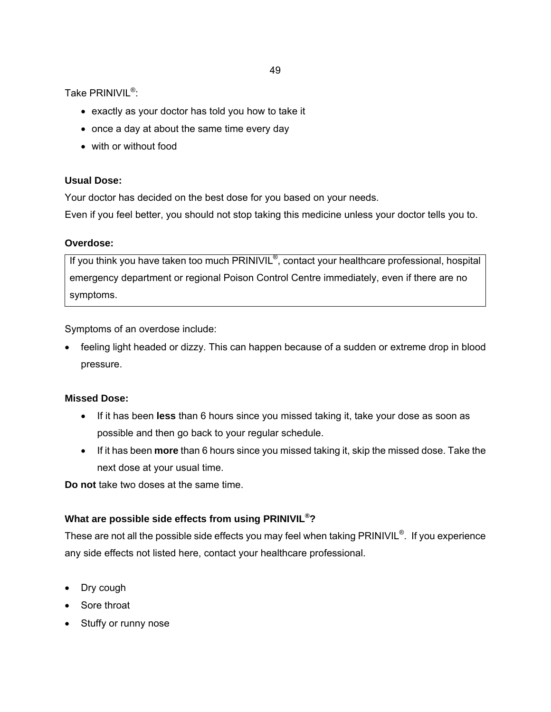49

Take PRINIVII<sup>®.</sup>

- exactly as your doctor has told you how to take it
- once a day at about the same time every day
- with or without food

## **Usual Dose:**

Your doctor has decided on the best dose for you based on your needs.

Even if you feel better, you should not stop taking this medicine unless your doctor tells you to.

## **Overdose:**

If you think you have taken too much PRINIVIL<sup>®</sup>, contact your healthcare professional, hospital emergency department or regional Poison Control Centre immediately, even if there are no symptoms.

Symptoms of an overdose include:

 feeling light headed or dizzy. This can happen because of a sudden or extreme drop in blood pressure.

## **Missed Dose:**

- If it has been **less** than 6 hours since you missed taking it, take your dose as soon as possible and then go back to your regular schedule.
- If it has been **more** than 6 hours since you missed taking it, skip the missed dose. Take the next dose at your usual time.

**Do not** take two doses at the same time.

## **What are possible side effects from using PRINIVIL®?**

These are not all the possible side effects you may feel when taking PRINIVIL<sup>®</sup>. If you experience any side effects not listed here, contact your healthcare professional.

- Dry cough
- Sore throat
- Stuffy or runny nose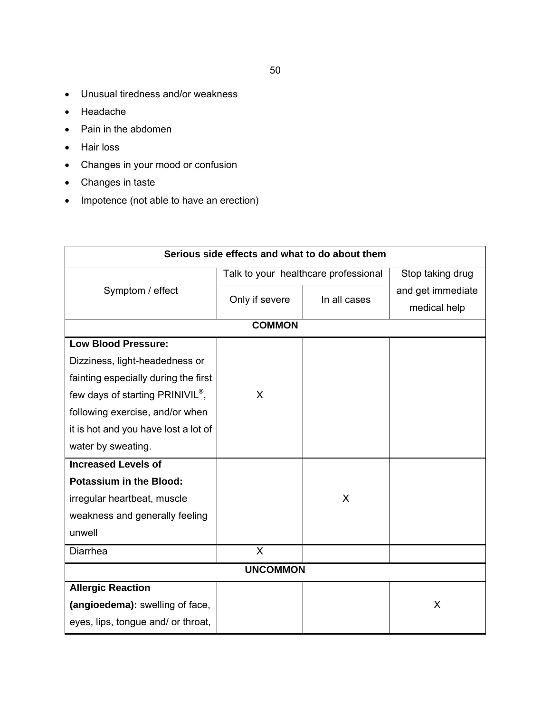- Unusual tiredness and/or weakness
- Headache
- Pain in the abdomen
- Hair loss
- Changes in your mood or confusion
- Changes in taste
- Impotence (not able to have an erection)

| Serious side effects and what to do about them |                                      |                  |                   |  |  |
|------------------------------------------------|--------------------------------------|------------------|-------------------|--|--|
|                                                | Talk to your healthcare professional | Stop taking drug |                   |  |  |
| Symptom / effect                               | Only if severe                       | In all cases     | and get immediate |  |  |
|                                                |                                      |                  | medical help      |  |  |
|                                                | <b>COMMON</b>                        |                  |                   |  |  |
| <b>Low Blood Pressure:</b>                     |                                      |                  |                   |  |  |
| Dizziness, light-headedness or                 |                                      |                  |                   |  |  |
| fainting especially during the first           |                                      |                  |                   |  |  |
| few days of starting PRINIVIL <sup>®</sup> ,   | X                                    |                  |                   |  |  |
| following exercise, and/or when                |                                      |                  |                   |  |  |
| it is hot and you have lost a lot of           |                                      |                  |                   |  |  |
| water by sweating.                             |                                      |                  |                   |  |  |
| <b>Increased Levels of</b>                     |                                      |                  |                   |  |  |
| <b>Potassium in the Blood:</b>                 |                                      |                  |                   |  |  |
| irregular heartbeat, muscle                    |                                      | X                |                   |  |  |
| weakness and generally feeling                 |                                      |                  |                   |  |  |
| unwell                                         |                                      |                  |                   |  |  |
| Diarrhea                                       | X                                    |                  |                   |  |  |
| <b>UNCOMMON</b>                                |                                      |                  |                   |  |  |
| <b>Allergic Reaction</b>                       |                                      |                  |                   |  |  |
| (angioedema): swelling of face,                |                                      |                  | X                 |  |  |
| eyes, lips, tongue and/ or throat,             |                                      |                  |                   |  |  |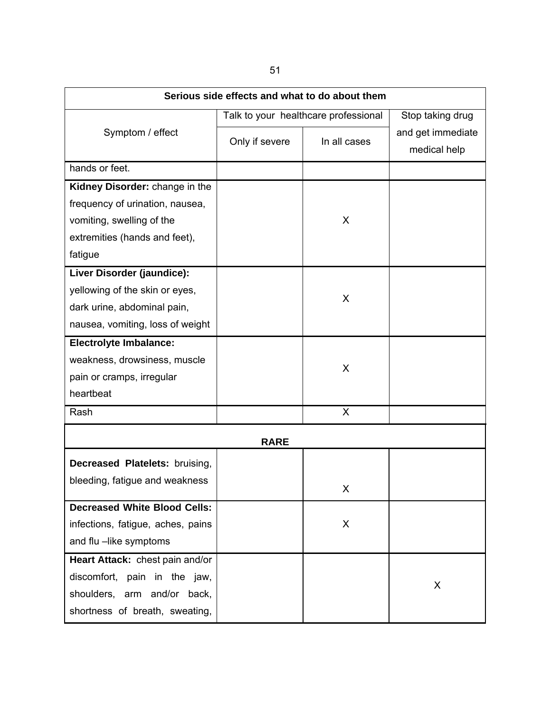| Serious side effects and what to do about them |                                      |                  |                                   |  |  |  |
|------------------------------------------------|--------------------------------------|------------------|-----------------------------------|--|--|--|
|                                                | Talk to your healthcare professional | Stop taking drug |                                   |  |  |  |
| Symptom / effect                               | Only if severe                       | In all cases     | and get immediate<br>medical help |  |  |  |
| hands or feet.                                 |                                      |                  |                                   |  |  |  |
|                                                |                                      |                  |                                   |  |  |  |
| Kidney Disorder: change in the                 |                                      |                  |                                   |  |  |  |
| frequency of urination, nausea,                |                                      | X                |                                   |  |  |  |
| vomiting, swelling of the                      |                                      |                  |                                   |  |  |  |
| extremities (hands and feet),                  |                                      |                  |                                   |  |  |  |
| fatigue                                        |                                      |                  |                                   |  |  |  |
| Liver Disorder (jaundice):                     |                                      |                  |                                   |  |  |  |
| yellowing of the skin or eyes,                 |                                      | X                |                                   |  |  |  |
| dark urine, abdominal pain,                    |                                      |                  |                                   |  |  |  |
| nausea, vomiting, loss of weight               |                                      |                  |                                   |  |  |  |
| <b>Electrolyte Imbalance:</b>                  |                                      | X                |                                   |  |  |  |
| weakness, drowsiness, muscle                   |                                      |                  |                                   |  |  |  |
| pain or cramps, irregular                      |                                      |                  |                                   |  |  |  |
| heartbeat                                      |                                      |                  |                                   |  |  |  |
| Rash                                           |                                      | X                |                                   |  |  |  |
| <b>RARE</b>                                    |                                      |                  |                                   |  |  |  |
| Decreased Platelets: bruising,                 |                                      |                  |                                   |  |  |  |
| bleeding, fatigue and weakness                 |                                      | X                |                                   |  |  |  |
| <b>Decreased White Blood Cells:</b>            |                                      |                  |                                   |  |  |  |
| infections, fatigue, aches, pains              |                                      | X                |                                   |  |  |  |
| and flu -like symptoms                         |                                      |                  |                                   |  |  |  |
| Heart Attack: chest pain and/or                |                                      |                  |                                   |  |  |  |
| discomfort, pain in the jaw,                   |                                      |                  |                                   |  |  |  |
| shoulders, arm and/or back,                    |                                      |                  | X                                 |  |  |  |
| shortness of breath, sweating,                 |                                      |                  |                                   |  |  |  |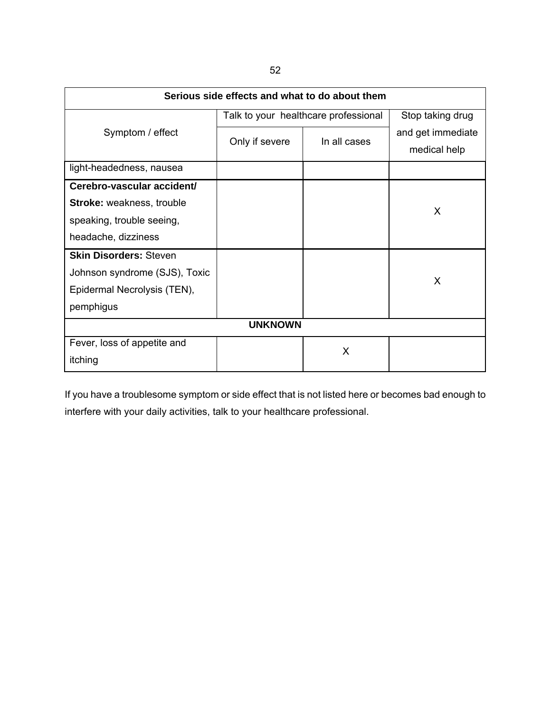| Serious side effects and what to do about them |                                      |                  |                                   |  |  |
|------------------------------------------------|--------------------------------------|------------------|-----------------------------------|--|--|
|                                                | Talk to your healthcare professional | Stop taking drug |                                   |  |  |
| Symptom / effect                               | Only if severe                       | In all cases     | and get immediate<br>medical help |  |  |
| light-headedness, nausea                       |                                      |                  |                                   |  |  |
| Cerebro-vascular accident/                     |                                      |                  |                                   |  |  |
| <b>Stroke: weakness, trouble</b>               |                                      |                  | X                                 |  |  |
| speaking, trouble seeing,                      |                                      |                  |                                   |  |  |
| headache, dizziness                            |                                      |                  |                                   |  |  |
| <b>Skin Disorders: Steven</b>                  |                                      |                  |                                   |  |  |
| Johnson syndrome (SJS), Toxic                  |                                      |                  | X                                 |  |  |
| Epidermal Necrolysis (TEN),                    |                                      |                  |                                   |  |  |
| pemphigus                                      |                                      |                  |                                   |  |  |
| <b>UNKNOWN</b>                                 |                                      |                  |                                   |  |  |
| Fever, loss of appetite and                    |                                      | X                |                                   |  |  |
| itching                                        |                                      |                  |                                   |  |  |

If you have a troublesome symptom or side effect that is not listed here or becomes bad enough to interfere with your daily activities, talk to your healthcare professional.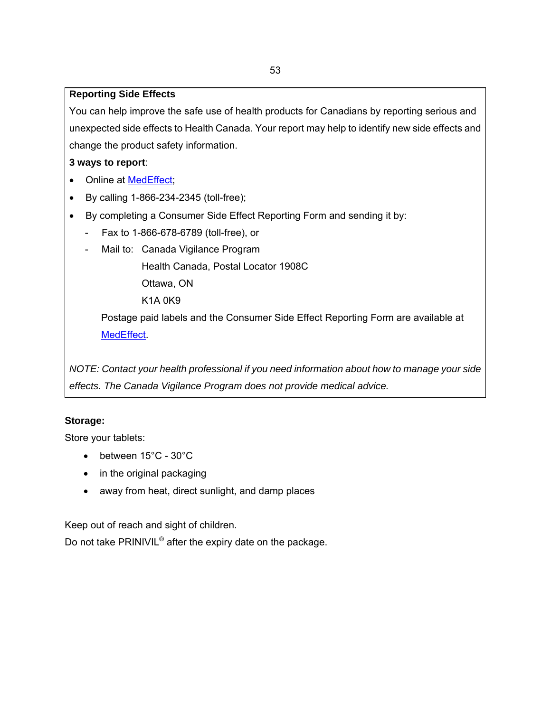## **Reporting Side Effects**

You can help improve the safe use of health products for Canadians by reporting serious and unexpected side effects to Health Canada. Your report may help to identify new side effects and change the product safety information.

## **3 ways to report**:

- Online at MedEffect;
- By calling 1-866-234-2345 (toll-free);
- By completing a Consumer Side Effect Reporting Form and sending it by:
	- Fax to 1-866-678-6789 (toll-free), or
	- Mail to: Canada Vigilance Program

Health Canada, Postal Locator 1908C

Ottawa, ON

K1A 0K9

Postage paid labels and the Consumer Side Effect Reporting Form are available at MedEffect.

*NOTE: Contact your health professional if you need information about how to manage your side effects. The Canada Vigilance Program does not provide medical advice.*

## **Storage:**

Store your tablets:

- between 15°C 30°C
- in the original packaging
- away from heat, direct sunlight, and damp places

Keep out of reach and sight of children.

Do not take PRINIVIL® after the expiry date on the package.